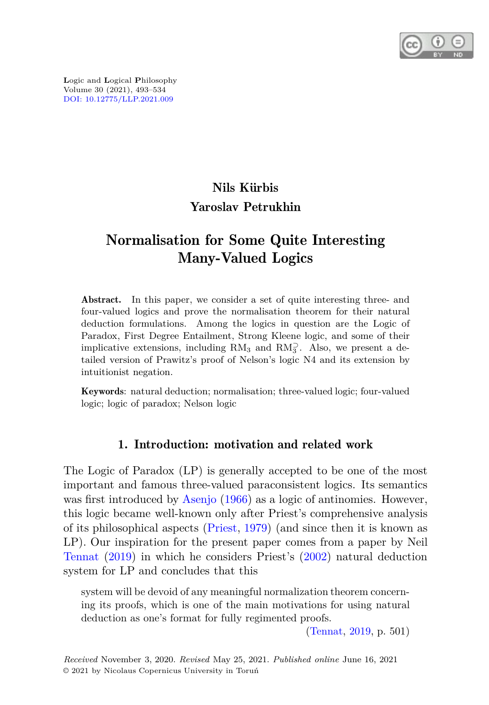

**L**ogic and **L**ogical **P**hilosophy Volume 30 (2021), 493–534 [DOI: 10.12775/LLP.2021.009](http://dx.doi.org/10.12775/LLP.2021.009)

# Nils Kürbis Yaroslav Petrukhin

# Normalisation for Some Quite Interesting Many-Valued Logics

Abstract. In this paper, we consider a set of quite interesting three- and four-valued logics and prove the normalisation theorem for their natural deduction formulations. Among the logics in question are the Logic of Paradox, First Degree Entailment, Strong Kleene logic, and some of their implicative extensions, including  $RM_3$  and  $RM_3^2$ . Also, we present a detailed version of Prawitz's proof of Nelson's logic N4 and its extension by intuitionist negation.

Keywords: natural deduction; normalisation; three-valued logic; four-valued logic; logic of paradox; Nelson logic

## 1. Introduction: motivation and related work

The Logic of Paradox (LP) is generally accepted to be one of the most important and famous three-valued paraconsistent logics. Its semantics was first introduced by [Asenjo](#page-37-0) [\(1966\)](#page-37-0) as a logic of antinomies. However, this logic became well-known only after Priest's comprehensive analysis of its philosophical aspects [\(Priest](#page-40-0), [1979\)](#page-40-0) (and since then it is known as LP). Our inspiration for the present paper comes from a paper by Neil [Tennat](#page-41-0) [\(2019\)](#page-41-0) in which he considers Priest's [\(2002\)](#page-40-1) natural deduction system for LP and concludes that this

system will be devoid of any meaningful normalization theorem concerning its proofs, which is one of the main motivations for using natural deduction as one's format for fully regimented proofs.

[\(Tennat](#page-41-0), [2019,](#page-41-0) p. 501)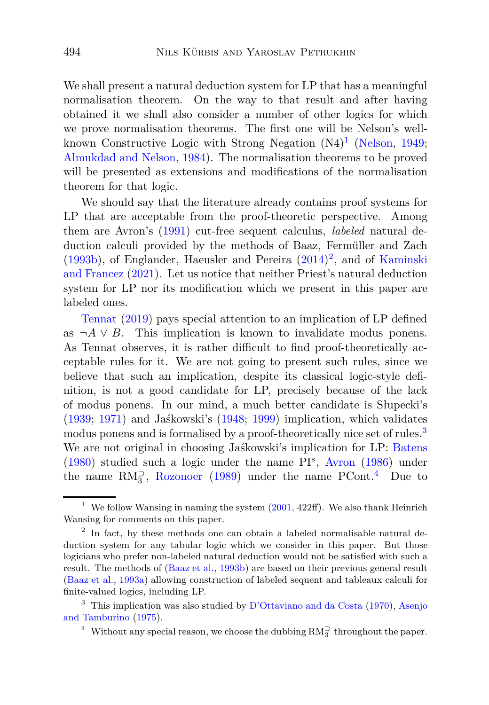We shall present a natural deduction system for LP that has a meaningful normalisation theorem. On the way to that result and after having obtained it we shall also consider a number of other logics for which we prove normalisation theorems. The first one will be Nelson's well-known Constructive Logic with Strong Negation (N4)<sup>[1](#page-1-0)</sup> [\(Nelson,](#page-39-0) [1949;](#page-39-0) [Almukdad and Nelson](#page-37-1), [1984](#page-37-1)). The normalisation theorems to be proved will be presented as extensions and modifications of the normalisation theorem for that logic.

We should say that the literature already contains proof systems for LP that are acceptable from the proof-theoretic perspective. Among them are Avron's [\(1991](#page-38-0)) cut-free sequent calculus, *labeled* natural deduction calculi provided by the methods of Baaz, Fermüller and Zach  $(1993b)$  $(1993b)$ , of [Englander, Haeusler and Pereira](#page-39-1)  $(2014)^2$  $(2014)^2$  $(2014)^2$ , and of Kaminski and Francez [\(2021\)](#page-39-1). Let us notice that neither Priest's natural deduction system for LP nor its modification which we present in this paper are [labeled one](#page-41-0)s.

Tennat [\(2019\)](#page-41-0) pays special attention to an implication of LP defined as  $\neg A \lor B$ . This implication is known to invalidate modus ponens. As Tennat observes, it is rather difficult to find proof-theoretically acceptable rules for it. We are not going to present such rules, since we believe that such an implication, despite its classical logic-style definition, is not a good candidate for LP, precisely because of the lack of modus ponens. In our mind, a much better candidate is Słupecki's [\(1939](#page-40-2); [1971\)](#page-40-3) and Jaśkowski's [\(1948;](#page-38-3) [1999](#page-38-4)) implication, which validates modus ponens and is formalised by a proof-theoretically nice set of rules.<sup>[3](#page-1-2)</sup> We are not original in choosing Jaśkowski's implication for LP: [Batens](#page-38-5) [\(1980](#page-38-5)) studied such a logic under the name PI*<sup>s</sup>* , [Avron](#page-38-6) [\(1986\)](#page-38-6) under the name  $RM_3^2$ , [Rozonoer](#page-40-4) [\(1989\)](#page-40-4) under the name PCont.<sup>[4](#page-1-3)</sup> Due to

<span id="page-1-0"></span><sup>&</sup>lt;sup>1</sup> We follow Wansing in naming the system  $(2001, 422\text{ff})$  $(2001, 422\text{ff})$ . We also thank Heinrich Wansing for comments on this paper.

<span id="page-1-1"></span><sup>&</sup>lt;sup>2</sup> In fact, by these methods one can obtain a labeled normalisable natural deduction system for any tabular logic which we consider in this paper. But those logicians who prefer non-labeled natural deduction would not be satisfied with such a result. The methods of [\(Baaz et al.](#page-38-1), [1993b\)](#page-38-1) are based on their previous general result [\(Baaz et al.](#page-38-7), [1993a](#page-38-7)) allowing construction of labeled sequent and tableaux calculi for finite-valued logics, including LP.

<sup>&</sup>lt;sup>3</sup> This imp[lication was also studied by](#page-37-2) [D'Ottaviano and da Costa](#page-38-8) [\(1970\)](#page-38-8), Asenjo and Tamburino [\(1975](#page-37-2)).

<span id="page-1-3"></span><span id="page-1-2"></span><sup>&</sup>lt;sup>4</sup> Without any special reason, we choose the dubbing  $RM_3^{\supset}$  throughout the paper.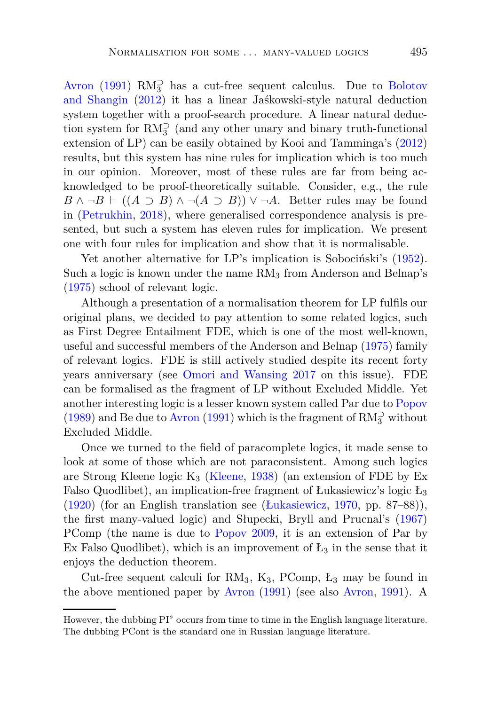[Avron](#page-38-0) [\(1991](#page-38-0))  $RM_3^{\supset}$  [has a cut-free sequent calculus. Due to](#page-38-9) Bolotov and Shangin [\(2012\)](#page-38-9) it has a linear Jaśkowski-style natural deduction system together with a proof-search procedure. A linear natural deduction system for  $\mathrm{RM}^{\supset}_3$  (and any other unary and binary truth-functional extension of LP) can be easily obtained by Kooi and Tamminga's [\(2012](#page-39-2)) results, but this system has nine rules for implication which is too much in our opinion. Moreover, most of these rules are far from being acknowledged to be proof-theoretically suitable. Consider, e.g., the rule *B* ∧ ¬*B* ⊢ ((*A* ⊃ *B*) ∧ ¬(*A* ⊃ *B*)) ∨ ¬*A*. Better rules may be found in [\(Petrukhin](#page-39-3), [2018](#page-39-3)), where generalised correspondence analysis is presented, but such a system has eleven rules for implication. We present one with four rules for implication and show that it is normalisable.

Yet another alternative for LP's implication is Sobociński's [\(1952\)](#page-40-5). Such a logic is known under the name  $RM_3$  from Anderson and Belnap's [\(1975](#page-37-3)) school of relevant logic.

Although a presentation of a normalisation theorem for LP fulfils our original plans, we decided to pay attention to some related logics, such as First Degree Entailment FDE, which is one of the most well-known, useful and successful members of the Anderson and Belnap [\(1975\)](#page-37-3) family of relevant logics. FDE is still actively studied despite its recent forty years anniversary (see [Omori and Wansing 2017](#page-39-4) on this issue). FDE can be formalised as the fragment of LP without Excluded Middle. Yet another interesting logic is a lesser known system called Par due to [Popov](#page-40-6) [\(1989](#page-40-6)) and Be due to [Avron](#page-38-0) [\(1991\)](#page-38-0) which is the fragment of  $\mathrm{RM}_3^{\supset}$  without Excluded Middle.

Once we turned to the field of paracomplete logics, it made sense to look at some of those which are not paraconsistent. Among such logics are Strong Kleene logic  $K_3$  [\(Kleene,](#page-39-5) [1938\)](#page-39-5) (an extension of FDE by Ex Falso Quodlibet), an implication-free fragment of Łukasiewicz's logic  $L_3$ [\(1920](#page-39-6)) (for an English translation see [\(Łukasiewicz](#page-39-7), [1970](#page-39-7), pp. 87–88)), the first many-valued logic) and Słupecki, Bryll and Prucnal's [\(1967](#page-40-7)) PComp (the name is due to [Popov 2009,](#page-40-8) it is an extension of Par by Ex Falso Quodlibet), which is an improvement of  $L_3$  in the sense that it enjoys the deduction theorem.

Cut-free sequent calculi for  $RM_3$ ,  $K_3$ ,  $PComp$ ,  $L_3$  may be found in the above mentioned paper by [Avron](#page-38-0) [\(1991\)](#page-38-0) (see also [Avron](#page-38-0), [1991](#page-38-0)). A

However, the dubbing PI<sup>s</sup> occurs from time to time in the English language literature. The dubbing PCont is the standard one in Russian language literature.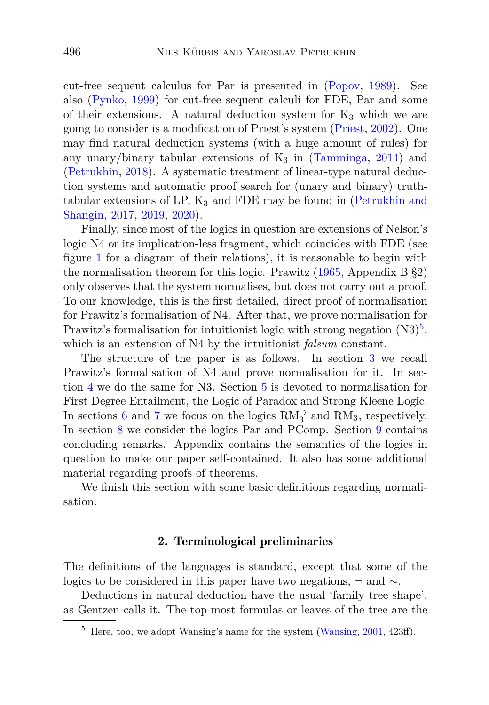cut-free sequent calculus for Par is presented in [\(Popov,](#page-40-6) [1989](#page-40-6)). See also [\(Pynko,](#page-40-9) [1999\)](#page-40-9) for cut-free sequent calculi for FDE, Par and some of their extensions. A natural deduction system for  $K_3$  which we are going to consider is a modification of Priest's system [\(Priest,](#page-40-1) [2002\)](#page-40-1). One may find natural deduction systems (with a huge amount of rules) for any unary/binary tabular extensions of  $K_3$  in [\(Tamminga](#page-40-10), [2014](#page-40-10)) and [\(Petrukhin,](#page-39-3) [2018\)](#page-39-3). A systematic treatment of linear-type natural deduction systems and automatic proof search for (unary and binary) truthtabular extensions of LP,  $K_3$  [and FDE may be found in \(](#page-39-8)Petrukhin and Shangin, [2017](#page-39-8), [2019,](#page-39-9) [2020\)](#page-40-11).

Finally, since most of the logics in question are extensions of Nelson's logic N4 or its implication-less fragment, which coincides with FDE (see figure [1](#page-8-0) for a diagram of their relations), it is reasonable to begin with the normalisation theorem for this logic. Prawitz [\(1965](#page-40-12), Appendix B §2) only observes that the system normalises, but does not carry out a proof. To our knowledge, this is the first detailed, direct proof of normalisation for Prawitz's formalisation of N4. After that, we prove normalisation for Prawitz's formalisation for intuitionist logic with strong negation  $(N3)^5$  $(N3)^5$ , which is an extension of N4 by the intuitionist *falsum* constant.

The structure of the paper is as follows. In section [3](#page-8-1) we recall Prawitz's formalisation of N4 and prove normalisation for it. In section [4](#page-13-0) we do the same for N3. Section [5](#page-16-0) is devoted to normalisation for First Degree Entailment, the Logic of Paradox and Strong Kleene Logic. In sections [6](#page-19-0) and [7](#page-21-0) we focus on the logics  $RM_3^{\supset}$  and  $RM_3$ , respectively. In section [8](#page-22-0) we consider the logics Par and PComp. Section [9](#page-27-0) contains concluding remarks. Appendix contains the semantics of the logics in question to make our paper self-contained. It also has some additional material regarding proofs of theorems.

We finish this section with some basic definitions regarding normalisation.

## 2. Terminological preliminaries

The definitions of the languages is standard, except that some of the logics to be considered in this paper have two negations, ¬ and ∼.

Deductions in natural deduction have the usual 'family tree shape', as Gentzen calls it. The top-most formulas or leaves of the tree are the

<span id="page-3-0"></span> $5$  Here, too, we adopt Wansing's name for the system [\(Wansing](#page-41-1), [2001,](#page-41-1) 423ff).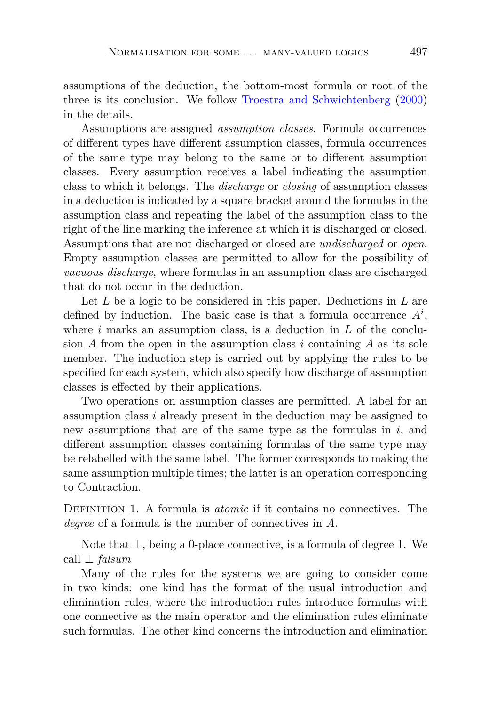assumptions of the deduction, the bottom-most formula or root of the three is its conclusion. We follow [Troestra and Schwichtenberg](#page-41-2) [\(2000](#page-41-2)) in the details.

Assumptions are assigned *assumption classes*. Formula occurrences of different types have different assumption classes, formula occurrences of the same type may belong to the same or to different assumption classes. Every assumption receives a label indicating the assumption class to which it belongs. The *discharge* or *closing* of assumption classes in a deduction is indicated by a square bracket around the formulas in the assumption class and repeating the label of the assumption class to the right of the line marking the inference at which it is discharged or closed. Assumptions that are not discharged or closed are *undischarged* or *open*. Empty assumption classes are permitted to allow for the possibility of *vacuous discharge*, where formulas in an assumption class are discharged that do not occur in the deduction.

Let *L* be a logic to be considered in this paper. Deductions in *L* are defined by induction. The basic case is that a formula occurrence  $A^i$ , where *i* marks an assumption class, is a deduction in *L* of the conclusion  $A$  from the open in the assumption class  $i$  containing  $A$  as its sole member. The induction step is carried out by applying the rules to be specified for each system, which also specify how discharge of assumption classes is effected by their applications.

Two operations on assumption classes are permitted. A label for an assumption class *i* already present in the deduction may be assigned to new assumptions that are of the same type as the formulas in *i*, and different assumption classes containing formulas of the same type may be relabelled with the same label. The former corresponds to making the same assumption multiple times; the latter is an operation corresponding to Contraction.

Definition 1. A formula is *atomic* if it contains no connectives. The *degree* of a formula is the number of connectives in *A*.

Note that ⊥, being a 0-place connective, is a formula of degree 1. We call ⊥ *falsum*

Many of the rules for the systems we are going to consider come in two kinds: one kind has the format of the usual introduction and elimination rules, where the introduction rules introduce formulas with one connective as the main operator and the elimination rules eliminate such formulas. The other kind concerns the introduction and elimination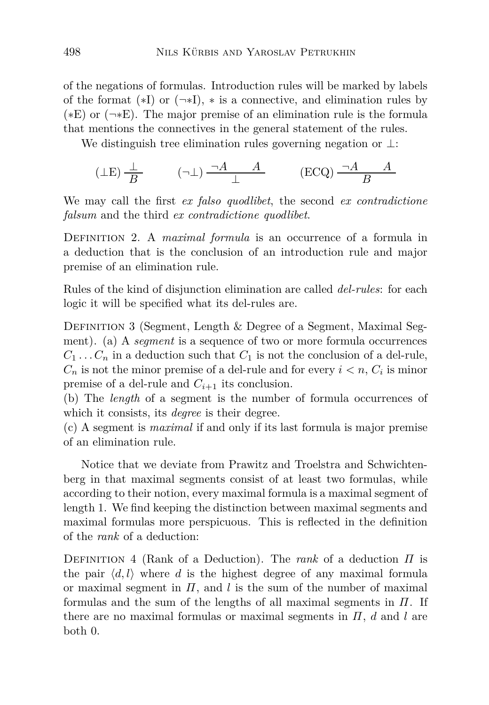of the negations of formulas. Introduction rules will be marked by labels of the format  $(*I)$  or  $(\neg *I)$ ,  $*$  is a connective, and elimination rules by  $(*E)$  or  $(\neg *E)$ . The major premise of an elimination rule is the formula that mentions the connectives in the general statement of the rules.

We distinguish tree elimination rules governing negation or ⊥:

$$
(\perp \mathcal{E}) \frac{\perp}{B} \qquad (\neg \perp) \frac{\neg A \qquad A}{\perp} \qquad (\mathcal{E}\mathcal{C}\mathcal{Q}) \frac{\neg A \qquad A}{B}
$$

<span id="page-5-0"></span>We may call the first *ex falso quodlibet*, the second *ex contradictione falsum* and the third *ex contradictione quodlibet*.

Definition 2. A *maximal formula* is an occurrence of a formula in a deduction that is the conclusion of an introduction rule and major premise of an elimination rule.

<span id="page-5-1"></span>Rules of the kind of disjunction elimination are called *del-rules*: for each logic it will be specified what its del-rules are.

DEFINITION 3 (Segment, Length & Degree of a Segment, Maximal Segment). (a) A *segment* is a sequence of two or more formula occurrences  $C_1 \ldots C_n$  in a deduction such that  $C_1$  is not the conclusion of a del-rule,  $C_n$  is not the minor premise of a del-rule and for every  $i < n$ ,  $C_i$  is minor premise of a del-rule and  $C_{i+1}$  its conclusion.

(b) The *length* of a segment is the number of formula occurrences of which it consists, its *degree* is their degree.

(c) A segment is *maximal* if and only if its last formula is major premise of an elimination rule.

Notice that we deviate from Prawitz and Troelstra and Schwichtenberg in that maximal segments consist of at least two formulas, while according to their notion, every maximal formula is a maximal segment of length 1. We find keeping the distinction between maximal segments and maximal formulas more perspicuous. This is reflected in the definition of the *rank* of a deduction:

Definition 4 (Rank of a Deduction). The *rank* of a deduction *Π* is the pair  $\langle d, l \rangle$  where *d* is the highest degree of any maximal formula or maximal segment in *Π*, and *l* is the sum of the number of maximal formulas and the sum of the lengths of all maximal segments in *Π*. If there are no maximal formulas or maximal segments in *Π*, *d* and *l* are both 0.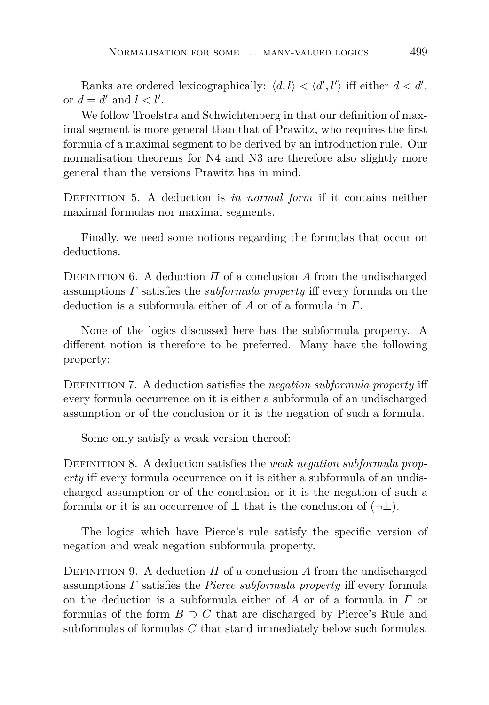Ranks are ordered lexicographically:  $\langle d, l \rangle < \langle d', l' \rangle$  iff either  $d < d'$ , or  $d = d'$  and  $l < l'$ .

We follow Troelstra and Schwichtenberg in that our definition of maximal segment is more general than that of Prawitz, who requires the first formula of a maximal segment to be derived by an introduction rule. Our normalisation theorems for N4 and N3 are therefore also slightly more general than the versions Prawitz has in mind.

Definition 5. A deduction is *in normal form* if it contains neither maximal formulas nor maximal segments.

Finally, we need some notions regarding the formulas that occur on deductions.

DEFINITION 6. A deduction  $\Pi$  of a conclusion  $\Lambda$  from the undischarged assumptions *Γ* satisfies the *subformula property* iff every formula on the deduction is a subformula either of *A* or of a formula in *Γ*.

None of the logics discussed here has the subformula property. A different notion is therefore to be preferred. Many have the following property:

Definition 7. A deduction satisfies the *negation subformula property* iff every formula occurrence on it is either a subformula of an undischarged assumption or of the conclusion or it is the negation of such a formula.

Some only satisfy a weak version thereof:

Definition 8. A deduction satisfies the *weak negation subformula property* iff every formula occurrence on it is either a subformula of an undischarged assumption or of the conclusion or it is the negation of such a formula or it is an occurrence of  $\perp$  that is the conclusion of  $(\neg \perp)$ .

The logics which have Pierce's rule satisfy the specific version of negation and weak negation subformula property.

DEFINITION 9. A deduction  $\Pi$  of a conclusion  $\Lambda$  from the undischarged assumptions *Γ* satisfies the *Pierce subformula property* iff every formula on the deduction is a subformula either of *A* or of a formula in *Γ* or formulas of the form  $B \supset C$  that are discharged by Pierce's Rule and subformulas of formulas *C* that stand immediately below such formulas.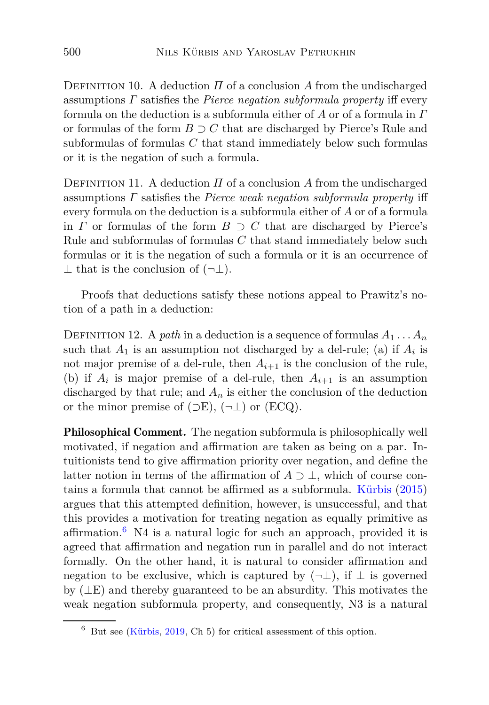DEFINITION 10. A deduction  $\Pi$  of a conclusion  $A$  from the undischarged assumptions *Γ* satisfies the *Pierce negation subformula property* iff every formula on the deduction is a subformula either of *A* or of a formula in *Γ* or formulas of the form *B* ⊃ *C* that are discharged by Pierce's Rule and subformulas of formulas *C* that stand immediately below such formulas or it is the negation of such a formula.

DEFINITION 11. A deduction  $\Pi$  of a conclusion  $A$  from the undischarged assumptions *Γ* satisfies the *Pierce weak negation subformula property* iff every formula on the deduction is a subformula either of *A* or of a formula in *Γ* or formulas of the form  $B \supset C$  that are discharged by Pierce's Rule and subformulas of formulas *C* that stand immediately below such formulas or it is the negation of such a formula or it is an occurrence of  $\perp$  that is the conclusion of  $(\neg \perp)$ .

Proofs that deductions satisfy these notions appeal to Prawitz's notion of a path in a deduction:

DEFINITION 12. A *path* in a deduction is a sequence of formulas  $A_1 \ldots A_n$ such that  $A_1$  is an assumption not discharged by a del-rule; (a) if  $A_i$  is not major premise of a del-rule, then  $A_{i+1}$  is the conclusion of the rule, (b) if  $A_i$  is major premise of a del-rule, then  $A_{i+1}$  is an assumption discharged by that rule; and  $A_n$  is either the conclusion of the deduction or the minor premise of  $(\supset E)$ ,  $(\neg \bot)$  or  $(ECQ)$ .

Philosophical Comment. The negation subformula is philosophically well motivated, if negation and affirmation are taken as being on a par. Intuitionists tend to give affirmation priority over negation, and define the latter notion in terms of the affirmation of  $A \supset \perp$ , which of course contains a formula that cannot be affirmed as a subformula. [Kürbis](#page-39-10) [\(2015](#page-39-10)) argues that this attempted definition, however, is unsuccessful, and that this provides a motivation for treating negation as equally primitive as affirmation.<sup>[6](#page-7-0)</sup> N4 is a natural logic for such an approach, provided it is agreed that affirmation and negation run in parallel and do not interact formally. On the other hand, it is natural to consider affirmation and negation to be exclusive, which is captured by  $(\neg \bot)$ , if  $\bot$  is governed by (⊥E) and thereby guaranteed to be an absurdity. This motivates the weak negation subformula property, and consequently, N3 is a natural

<span id="page-7-0"></span> $6$  But see [\(Kürbis,](#page-39-11) [2019](#page-39-11), Ch 5) for critical assessment of this option.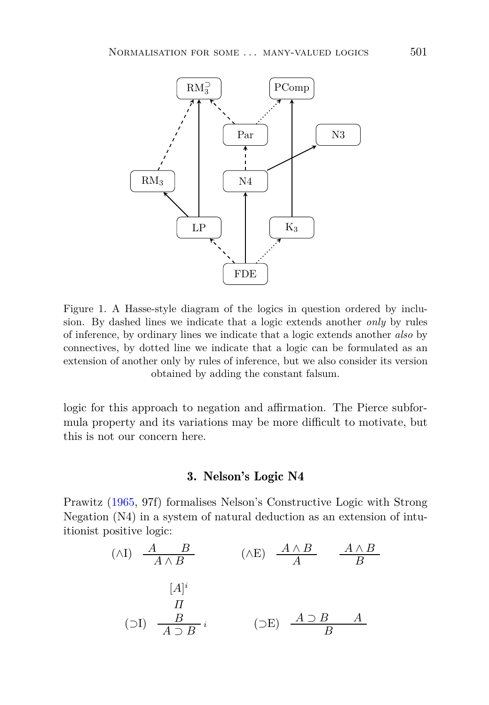

<span id="page-8-0"></span>Figure 1. A Hasse-style diagram of the logics in question ordered by inclusion. By dashed lines we indicate that a logic extends another *only* by rules of inference, by ordinary lines we indicate that a logic extends another *also* by connectives, by dotted line we indicate that a logic can be formulated as an extension of another only by rules of inference, but we also consider its version obtained by adding the constant falsum.

<span id="page-8-1"></span>logic for this approach to negation and affirmation. The Pierce subformula property and its variations may be more difficult to motivate, but this is not our concern here.

## 3. Nelson's Logic N4

Prawitz [\(1965](#page-40-12), 97f) formalises Nelson's Constructive Logic with Strong Negation (N4) in a system of natural deduction as an extension of intuitionist positive logic:

$$
(\wedge I) \quad \frac{A \quad B}{A \wedge B} \qquad (\wedge E) \quad \frac{A \wedge B}{A} \qquad \frac{A \wedge B}{B}
$$
\n
$$
[A]^i
$$
\n
$$
(J) \quad \frac{B}{A \supset B} i \qquad (\supset E) \quad \frac{A \supset B}{B} A
$$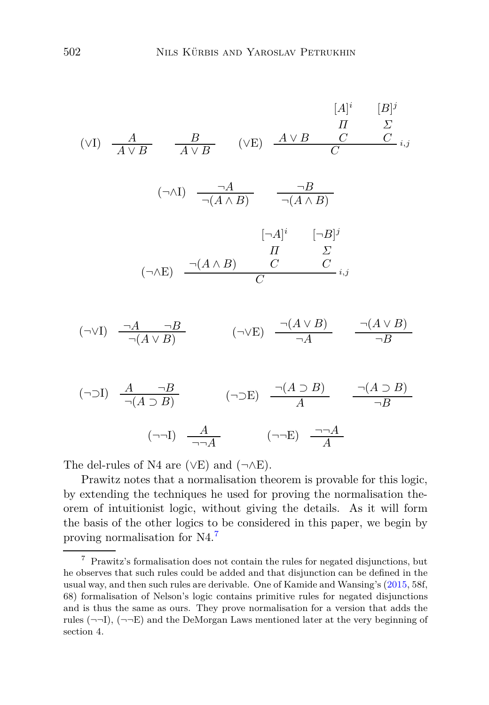$$
(VI) \frac{A}{A \vee B} = \frac{B}{A \vee B} \quad (VE) \frac{A \vee B}{C} = \frac{C}{C} \cdot i, j
$$
  

$$
(\neg \wedge I) \frac{\neg A}{\neg (A \wedge B)} = \frac{\neg B}{\neg (A \wedge B)}
$$
  

$$
[\neg A]^i = [\neg B]^j
$$
  

$$
(\neg \wedge E) = \frac{\neg (A \wedge B) \qquad C}{C} = \frac{C}{i, j}
$$
  

$$
(\neg \vee I) = \frac{\neg A \qquad \neg B}{\neg (A \vee B)} \qquad (\neg \vee E) = \frac{\neg (A \vee B)}{\neg A} = \frac{\neg (A \vee B)}{\neg B}
$$
  

$$
(\neg \supset I) = \frac{A \qquad \neg B}{\neg (A \supset B)} \qquad (\neg \supset E) = \frac{\neg (A \supset B)}{A} = \frac{\neg (A \supset B)}{\neg B}
$$

 $(\neg\neg I)$   $\frac{A}{\neg \neg A}$   $(\neg\neg E)$   $\frac{\neg \neg A}{A}$ 

The del-rules of N4 are ( $\vee$ E) and ( $\neg$  $\wedge$ E).

Prawitz notes that a normalisation theorem is provable for this logic, by extending the techniques he used for proving the normalisation theorem of intuitionist logic, without giving the details. As it will form the basis of the other logics to be considered in this paper, we begin by proving normalisation for N4.[7](#page-9-0)

<span id="page-9-0"></span> $^7\,$  Prawitz's formalisation does not contain the rules for negated disjunctions, but he observes that such rules could be added and that disjunction can be defined in the usual way, and then such rules are derivable. One of Kamide and Wansing's [\(2015,](#page-39-12) 58f, 68) formalisation of Nelson's logic contains primitive rules for negated disjunctions and is thus the same as ours. They prove normalisation for a version that adds the rules  $(\neg\neg I)$ ,  $(\neg\neg E)$  and the DeMorgan Laws mentioned later at the very beginning of section 4.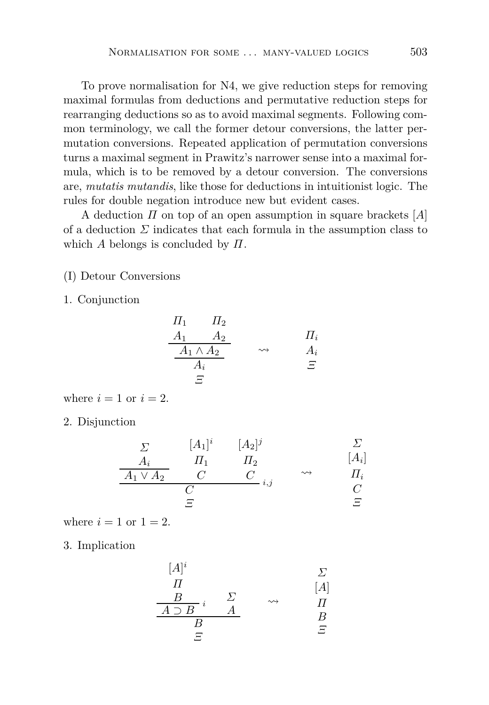To prove normalisation for N4, we give reduction steps for removing maximal formulas from deductions and permutative reduction steps for rearranging deductions so as to avoid maximal segments. Following common terminology, we call the former detour conversions, the latter permutation conversions. Repeated application of permutation conversions turns a maximal segment in Prawitz's narrower sense into a maximal formula, which is to be removed by a detour conversion. The conversions are, *mutatis mutandis*, like those for deductions in intuitionist logic. The rules for double negation introduce new but evident cases.

A deduction *Π* on top of an open assumption in square brackets [*A*] of a deduction  $\Sigma$  indicates that each formula in the assumption class to which *A* belongs is concluded by *Π*.

(I) Detour Conversions

1. Conjunction

$$
\begin{array}{ccc}\n\Pi_1 & \Pi_2 \\
\underline{A_1} & \underline{A_2} \\
\underline{A_1 \wedge A_2} & \rightsquigarrow & \underline{A_i} \\
\underline{A_i} & \Xi\n\end{array}
$$

where  $i = 1$  or  $i = 2$ .

2. Disjunction

$$
\begin{array}{ccc}\n\Sigma & [A_1]^i & [A_2]^j & \Sigma \\
\hline\nA_i & \Pi_1 & \Pi_2 & [A_i] \\
\hline\nA_1 \vee A_2 & C & C \\
\hline\nC & \Sigma & \Sigma\n\end{array}
$$

where  $i = 1$  or  $1 = 2$ .

3. Implication

$$
\begin{array}{ccc}\n[A]^i & & \Sigma \\
\hline\nH & & & [A] \\
\hline\nB & & \Sigma & & \n\end{array}
$$

$$
\begin{array}{ccc}\nA \supset B & A & B \\
B & & B \\
\hline\nE & & & \n\end{array}
$$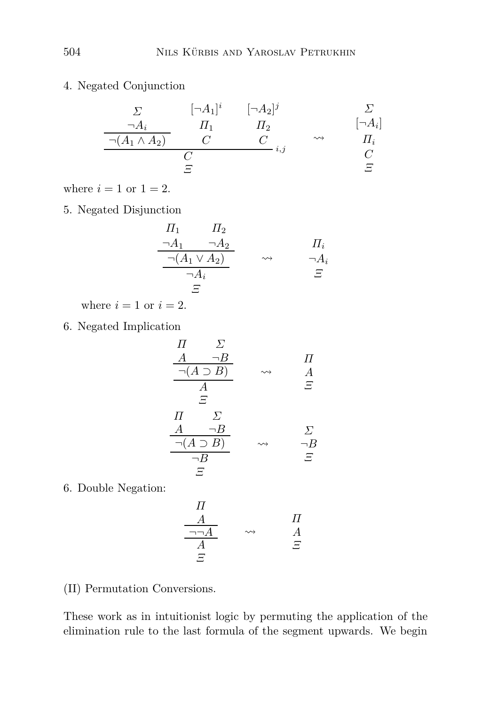4. Negated Conjunction

$$
\begin{array}{ccc}\n\Sigma & [\neg A_1]^i & [\neg A_2]^j & \Sigma \\
\hline\n\frac{\neg A_i}{\neg (A_1 \land A_2)} & C & C \\
\hline\nC & C & i, j & C \\
\hline\nE & E & E\n\end{array}
$$

where  $i = 1$  or  $1 = 2$ .

5. Negated Disjunction

$$
\frac{\Pi_1 \qquad \Pi_2}{\neg A_1 \qquad \neg A_2} \qquad \qquad \Pi_i
$$
\n
$$
\frac{\neg (A_1 \lor A_2)}{\neg A_i} \qquad \leadsto \qquad \frac{\Pi_i}{\neg A_i}
$$
\n
$$
\Xi
$$

where  $i = 1$  or  $i = 2$ .

6. Negated Implication

$$
\begin{array}{ccc}\n\Pi & \Sigma \\
\underline{A & \neg B} \\
\hline\n\neg(A \supset B) & \leadsto & A \\
\underline{A} & \Xi \\
\Xi & & \Sigma \\
\hline\n\Pi & \Sigma \\
\hline\n\neg(B & \neg B) & \leadsto & \neg B \\
\hline\n\neg B & & \Xi\n\end{array}
$$

6. Double Negation:

$$
\begin{array}{ccc}\n\Pi \\
\hline\n\frac{A}{\neg\neg A} & \rightsquigarrow & A \\
\hline\n\frac{A}{A} & \stackrel{\frown}{\Xi}\n\end{array}
$$

(II) Permutation Conversions.

These work as in intuitionist logic by permuting the application of the elimination rule to the last formula of the segment upwards. We begin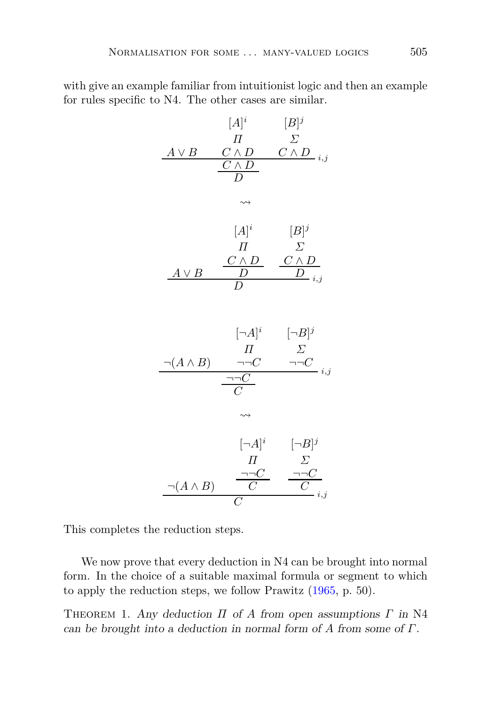with give an example familiar from intuitionist logic and then an example for rules specific to N4. The other cases are similar.

$$
[A]^{i} \t [B]^{j}
$$
\n
$$
\begin{array}{ccc}\nA \vee B & C \wedge D & C \wedge D \\
\hline\nC \wedge D & & & \\
\hline\nD & & & \\
\end{array}
$$
\n
$$
\begin{array}{ccc}\n[A]^{i} & [B]^{j} \\
\hline\nH & \Sigma \\
\Delta \vee B & D & \Sigma \wedge D \\
\hline\nD & & & \\
\end{array}
$$
\n
$$
\begin{array}{ccc}\n[A]^i & [-B]^j \\
\hline\nH & \Sigma \\
\hline\nT & & & \\
\hline\nC & & & \\
\end{array}
$$
\n
$$
\begin{array}{ccc}\n[\neg A]^i & [\neg B]^j \\
\hline\nI & & \Sigma \\
\hline\nC & & & \\
\end{array}
$$
\n
$$
\begin{array}{ccc}\n[\neg A]^i & [\neg B]^j \\
\hline\nH & \Sigma \\
\hline\n\end{array}
$$
\n
$$
\begin{array}{ccc}\n[\neg A]^i & [\neg B]^j \\
\hline\nI & \Sigma \\
\hline\n\end{array}
$$

$$
\frac{\neg(A \land B)}{C} \quad \frac{\neg\neg C}{C} \quad \frac{\neg\neg C}{C}_{i,j}
$$

This completes the reduction steps.

We now prove that every deduction in N4 can be brought into normal form. In the choice of a suitable maximal formula or segment to which to apply the reduction steps, we follow Prawitz [\(1965](#page-40-12), p. 50).

Theorem 1. Any deduction *Π* of *A* from open assumptions *Γ* in N4 can be brought into a deduction in normal form of *A* from some of *Γ*.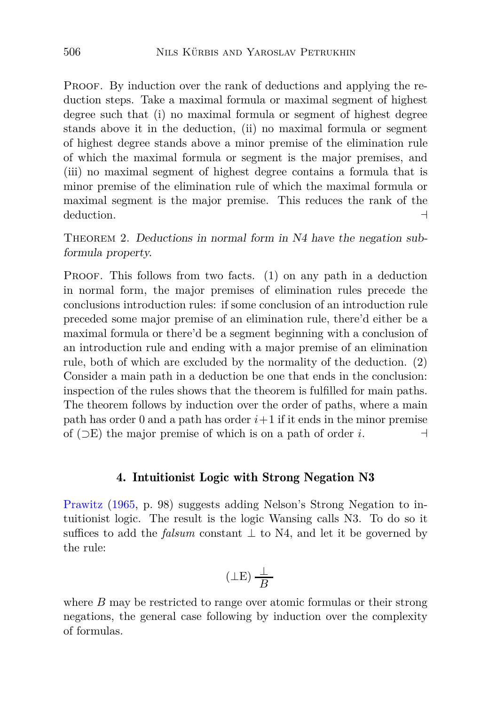PROOF. By induction over the rank of deductions and applying the reduction steps. Take a maximal formula or maximal segment of highest degree such that (i) no maximal formula or segment of highest degree stands above it in the deduction, (ii) no maximal formula or segment of highest degree stands above a minor premise of the elimination rule of which the maximal formula or segment is the major premises, and (iii) no maximal segment of highest degree contains a formula that is minor premise of the elimination rule of which the maximal formula or maximal segment is the major premise. This reduces the rank of the deduction. ⊣

<span id="page-13-1"></span>THEOREM 2. Deductions in normal form in N4 have the negation subformula property.

PROOF. This follows from two facts. (1) on any path in a deduction in normal form, the major premises of elimination rules precede the conclusions introduction rules: if some conclusion of an introduction rule preceded some major premise of an elimination rule, there'd either be a maximal formula or there'd be a segment beginning with a conclusion of an introduction rule and ending with a major premise of an elimination rule, both of which are excluded by the normality of the deduction. (2) Consider a main path in a deduction be one that ends in the conclusion: inspection of the rules shows that the theorem is fulfilled for main paths. The theorem follows by induction over the order of paths, where a main path has order 0 and a path has order  $i+1$  if it ends in the minor premise of (⊃E) the major premise of which is on a path of order *i*. ⊣

### 4. Intuitionist Logic with Strong Negation N3

<span id="page-13-0"></span>Prawitz [\(1965,](#page-40-12) p. 98) suggests adding Nelson's Strong Negation to intuitionist logic. The result is the logic Wansing calls N3. To do so it suffices to add the *falsum* constant  $\perp$  to N4, and let it be governed by the rule:

$$
(\perp \to) \frac{\perp}{B}
$$

where *B* may be restricted to range over atomic formulas or their strong negations, the general case following by induction over the complexity of formulas.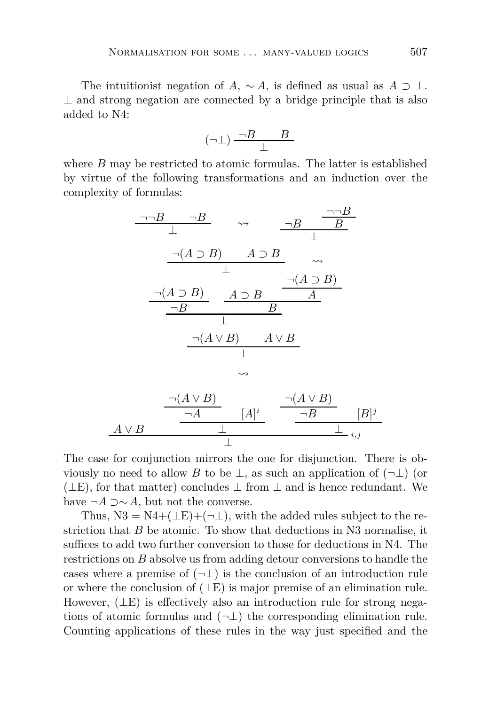The intuitionist negation of *A*,  $\sim A$ , is defined as usual as  $A \supset \perp$ .  $\perp$  and strong negation are connected by a bridge principle that is also added to N4:

$$
(\neg \bot) \, \frac{\neg B \qquad B}{\bot}
$$

where *B* may be restricted to atomic formulas. The latter is established by virtue of the following transformations and an induction over the complexity of formulas:

$$
\frac{\neg\neg B \qquad \neg B}{\perp} \qquad \leadsto \qquad \frac{\neg B \qquad \frac{\neg\neg B}{B}}{\perp}
$$
\n
$$
\frac{\neg(A \supset B) \qquad A \supset B}{\perp} \qquad \leadsto
$$
\n
$$
\frac{\neg(A \supset B) \qquad A \supset B}{B}
$$
\n
$$
\frac{\neg(A \vee B) \qquad A \vee B}{\perp}
$$
\n
$$
\frac{\neg(A \vee B) \qquad A \vee B}{\perp}
$$
\n
$$
\frac{\neg(A \vee B)}{\neg A} \qquad [A]^i \qquad \frac{\neg(A \vee B)}{\neg B} \qquad [B]
$$

The case for conjunction mirrors the one for disjunction. There is obviously no need to allow *B* to be  $\perp$ , as such an application of  $(\neg \perp)$  (or  $(µE)$ , for that matter) concludes  $µ$  from  $µ$  and is hence redundant. We have  $\neg A \supset \sim A$ , but not the converse.

⊥

⊥

*A* ∨ *B*

Thus,  $N3 = N4 + (\perp E) + (\neg \perp)$ , with the added rules subject to the restriction that *B* be atomic. To show that deductions in N3 normalise, it suffices to add two further conversion to those for deductions in N4. The restrictions on *B* absolve us from adding detour conversions to handle the cases where a premise of  $(\neg \bot)$  is the conclusion of an introduction rule or where the conclusion of  $(LE)$  is major premise of an elimination rule. However,  $(\perp E)$  is effectively also an introduction rule for strong negations of atomic formulas and  $(\neg \bot)$  the corresponding elimination rule. Counting applications of these rules in the way just specified and the

*j*

⊥ *i,j*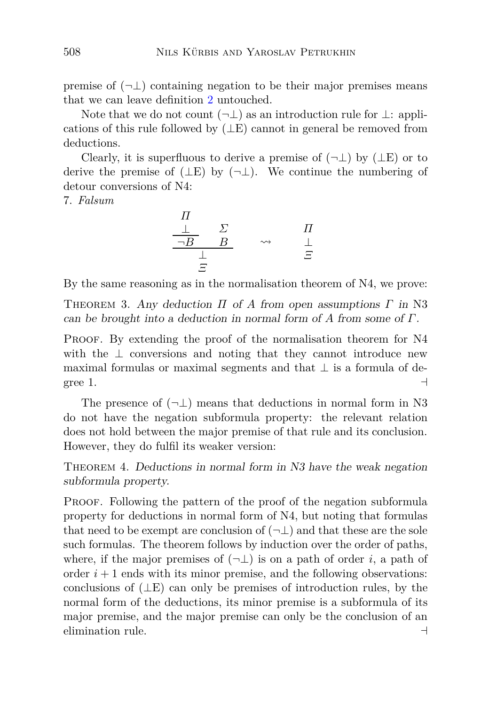premise of  $(\neg \bot)$  containing negation to be their major premises means that we can leave definition [2](#page-5-0) untouched.

Note that we do not count  $(\neg \bot)$  as an introduction rule for  $\bot$ : applications of this rule followed by  $(LE)$  cannot in general be removed from deductions.

Clearly, it is superfluous to derive a premise of  $(\neg \bot)$  by  $(\bot E)$  or to derive the premise of  $(µE)$  by  $(¬⊥)$ . We continue the numbering of detour conversions of N4:

7. *Falsum*

$$
\begin{array}{ccc}\n\Pi & & \Sigma & & \Pi \\
\frac{\bot}{\neg B} & B & & \leadsto & \frac{\bot}{\bot} \\
\frac{\bot}{\varXi} & & & & \varXi\n\end{array}
$$

By the same reasoning as in the normalisation theorem of N4, we prove:

Theorem 3. Any deduction *Π* of *A* from open assumptions *Γ* in N3 can be brought into a deduction in normal form of *A* from some of *Γ*.

PROOF. By extending the proof of the normalisation theorem for N4 with the  $\perp$  conversions and noting that they cannot introduce new maximal formulas or maximal segments and that  $\perp$  is a formula of degree 1.  $\Box$ 

The presence of  $(\neg \bot)$  means that deductions in normal form in N3 do not have the negation subformula property: the relevant relation does not hold between the major premise of that rule and its conclusion. However, they do fulfil its weaker version:

<span id="page-15-0"></span>Theorem 4. Deductions in normal form in N3 have the weak negation subformula property.

PROOF. Following the pattern of the proof of the negation subformula property for deductions in normal form of N4, but noting that formulas that need to be exempt are conclusion of  $(\neg \bot)$  and that these are the sole such formulas. The theorem follows by induction over the order of paths, where, if the major premises of  $(\neg \bot)$  is on a path of order *i*, a path of order  $i+1$  ends with its minor premise, and the following observations: conclusions of  $(LE)$  can only be premises of introduction rules, by the normal form of the deductions, its minor premise is a subformula of its major premise, and the major premise can only be the conclusion of an elimination rule. ⊣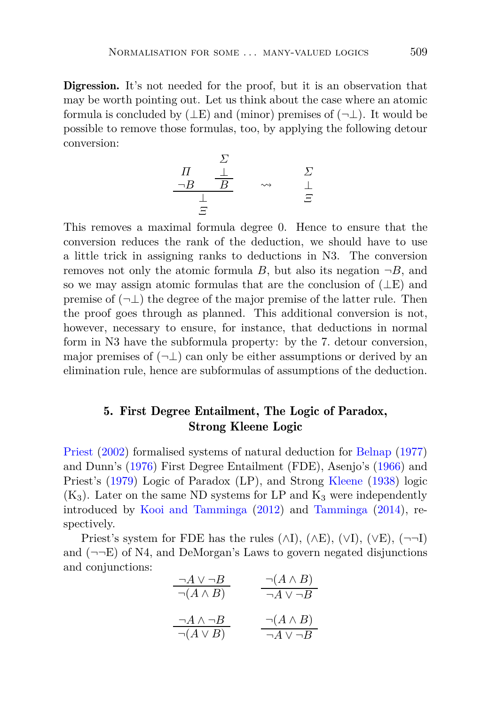Digression. It's not needed for the proof, but it is an observation that may be worth pointing out. Let us think about the case where an atomic formula is concluded by  $(\perp E)$  and (minor) premises of  $(\neg \perp)$ . It would be possible to remove those formulas, too, by applying the following detour conversion:

$$
\begin{array}{ccc}\n & \Sigma & & \Sigma \\
\frac{\neg B & \frac{\bot}{B}} & & \leadsto & \frac{\Sigma}{\bot} \\
\frac{\bot}{\Xi} & & & \stackrel{\sim}{\Xi}\n\end{array}
$$

This removes a maximal formula degree 0. Hence to ensure that the conversion reduces the rank of the deduction, we should have to use a little trick in assigning ranks to deductions in N3. The conversion removes not only the atomic formula *B*, but also its negation  $\neg B$ , and so we may assign atomic formulas that are the conclusion of  $(LE)$  and premise of  $(\neg \bot)$  the degree of the major premise of the latter rule. Then the proof goes through as planned. This additional conversion is not, however, necessary to ensure, for instance, that deductions in normal form in N3 have the subformula property: by the 7. detour conversion, major premises of  $(\neg \bot)$  can only be either assumptions or derived by an elimination rule, hence are subformulas of assumptions of the deduction.

## <span id="page-16-0"></span>5. First Degree Entailment, The Logic of Paradox, Strong Kleene Logic

Priest [\(2002](#page-40-1)) formalised systems of natural deduction for [Belnap](#page-38-10) [\(1977](#page-38-10)) and Dunn's [\(1976](#page-38-11)) First Degree Entailment (FDE), Asenjo's [\(1966](#page-37-0)) and Priest's [\(1979](#page-40-0)) Logic of Paradox (LP), and Strong [Kleene](#page-39-5) [\(1938](#page-39-5)) logic  $(K_3)$ . Later on the same ND systems for LP and  $K_3$  were independently introduced by [Kooi and Tamminga](#page-39-2) [\(2012\)](#page-39-2) and [Tamminga](#page-40-10) [\(2014](#page-40-10)), respectively.

Priest's system for FDE has the rules  $(\wedge I)$ ,  $(\wedge E)$ ,  $(\vee I)$ ,  $(\vee E)$ ,  $(\neg \neg I)$ and  $(\neg\neg E)$  of N4, and DeMorgan's Laws to govern negated disjunctions and conjunctions:

| $\neg A \vee \neg B$   | $\neg(A \land B)$    |
|------------------------|----------------------|
| $\neg(A \land B)$      | $\neg A \vee \neg B$ |
|                        |                      |
| $\neg A \wedge \neg B$ | $\neg(A \land B)$    |
| $\neg(A \vee B)$       | $\neg A \vee \neg B$ |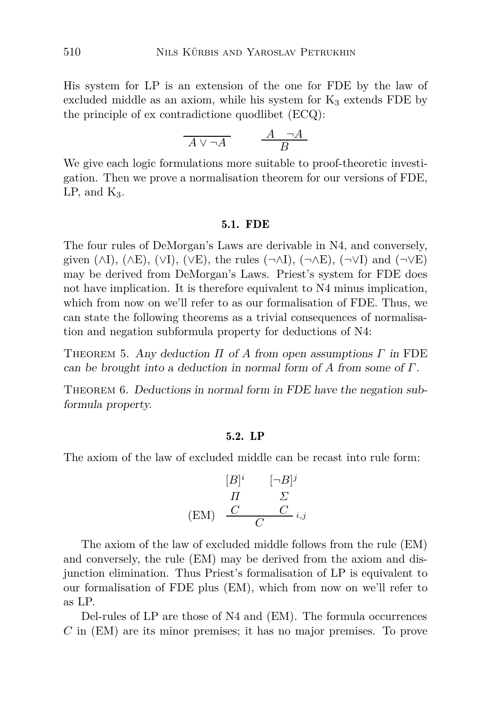His system for LP is an extension of the one for FDE by the law of excluded middle as an axiom, while his system for  $K_3$  extends FDE by the principle of ex contradictione quodlibet (ECQ):

$$
\overline{A \vee \neg A} \qquad \frac{A \neg A}{B}
$$

We give each logic formulations more suitable to proof-theoretic investigation. Then we prove a normalisation theorem for our versions of FDE,  $LP$ , and  $K_3$ .

#### 5.1. FDE

The four rules of DeMorgan's Laws are derivable in N4, and conversely, given ( $\wedge I$ ), ( $\wedge E$ ), ( $\vee I$ ), ( $\vee E$ ), the rules ( $\neg\wedge I$ ), ( $\neg\wedge E$ ), ( $\neg\vee I$ ) and ( $\neg\vee E$ ) may be derived from DeMorgan's Laws. Priest's system for FDE does not have implication. It is therefore equivalent to N4 minus implication, which from now on we'll refer to as our formalisation of FDE. Thus, we can state the following theorems as a trivial consequences of normalisation and negation subformula property for deductions of N4:

<span id="page-17-0"></span>Theorem 5. Any deduction *Π* of *A* from open assumptions *Γ* in FDE can be brought into a deduction in normal form of *A* from some of *Γ*.

THEOREM 6. Deductions in normal form in FDE have the negation subformula property.

### 5.2. LP

The axiom of the law of excluded middle can be recast into rule form:

$$
\begin{array}{ccc}\n[B]^i & [-B]^j \\
\hline\nH & \Sigma \\
\text{(EM)} & \frac{C}{C} & \frac{C}{i,j}\n\end{array}
$$

The axiom of the law of excluded middle follows from the rule (EM) and conversely, the rule (EM) may be derived from the axiom and disjunction elimination. Thus Priest's formalisation of LP is equivalent to our formalisation of FDE plus (EM), which from now on we'll refer to as LP.

Del-rules of LP are those of N4 and (EM). The formula occurrences *C* in (EM) are its minor premises; it has no major premises. To prove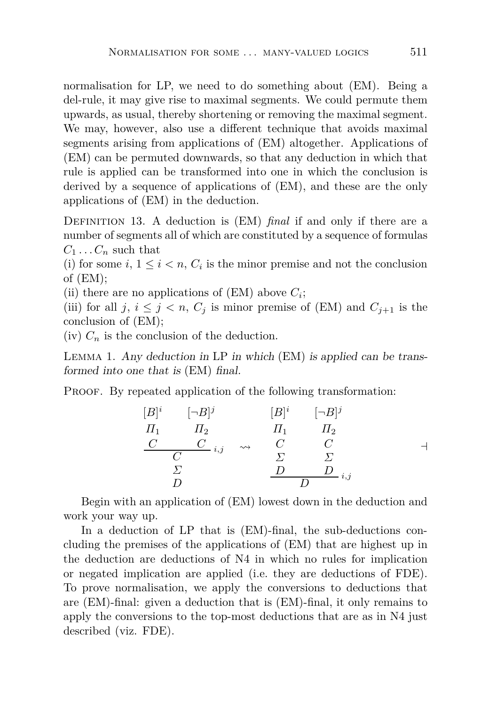normalisation for LP, we need to do something about (EM). Being a del-rule, it may give rise to maximal segments. We could permute them upwards, as usual, thereby shortening or removing the maximal segment. We may, however, also use a different technique that avoids maximal segments arising from applications of (EM) altogether. Applications of (EM) can be permuted downwards, so that any deduction in which that rule is applied can be transformed into one in which the conclusion is derived by a sequence of applications of (EM), and these are the only applications of (EM) in the deduction.

DEFINITION 13. A deduction is (EM) *final* if and only if there are a number of segments all of which are constituted by a sequence of formulas  $C_1 \ldots C_n$  such that

(i) for some  $i, 1 \leq i \leq n$ ,  $C_i$  is the minor premise and not the conclusion of (EM);

(ii) there are no applications of  $(EM)$  above  $C_i$ ;

(iii) for all *j*,  $i \leq j \leq n$ ,  $C_j$  is minor premise of (EM) and  $C_{j+1}$  is the conclusion of (EM);

 $(iv)$   $C_n$  is the conclusion of the deduction.

Lemma 1. Any deduction in LP in which (EM) is applied can be transformed into one that is (EM) final.

PROOF. By repeated application of the following transformation:

$$
[B]^{i} \qquad [-B]^{j} \qquad [B]^{i} \qquad [-B]^{j}
$$
  
\n
$$
\begin{array}{ccc}\nI_{1} & \Pi_{2} & \Pi_{1} & \Pi_{2} \\
\frac{C}{C} & \frac{C}{i,j} & \leadsto & \frac{C}{C} & \frac{C}{\Sigma} \\
\frac{\Sigma}{D} & \frac{D}{D} & \frac{D}{i,j}\n\end{array}
$$

Begin with an application of (EM) lowest down in the deduction and work your way up.

In a deduction of LP that is (EM)-final, the sub-deductions concluding the premises of the applications of (EM) that are highest up in the deduction are deductions of N4 in which no rules for implication or negated implication are applied (i.e. they are deductions of FDE). To prove normalisation, we apply the conversions to deductions that are (EM)-final: given a deduction that is (EM)-final, it only remains to apply the conversions to the top-most deductions that are as in N4 just described (viz. FDE).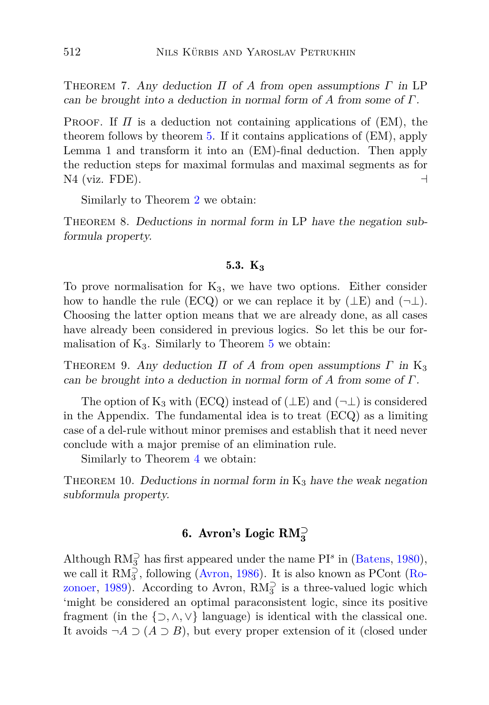Theorem 7. Any deduction *Π* of *A* from open assumptions *Γ* in LP can be brought into a deduction in normal form of *A* from some of *Γ*.

PROOF. If  $\Pi$  is a deduction not containing applications of (EM), the theorem follows by theorem [5.](#page-17-0) If it contains applications of (EM), apply Lemma 1 and transform it into an (EM)-final deduction. Then apply the reduction steps for maximal formulas and maximal segments as for N4 (viz. FDE).  $\Box$ 

Similarly to Theorem [2](#page-13-1) we obtain:

<span id="page-19-1"></span>THEOREM 8. Deductions in normal form in LP have the negation subformula property.

### 5.3.  $K_3$

To prove normalisation for  $K_3$ , we have two options. Either consider how to handle the rule (ECQ) or we can replace it by  $(\perp E)$  and  $(\neg \perp)$ . Choosing the latter option means that we are already done, as all cases have already been considered in previous logics. So let this be our formalisation of  $K_3$ . Similarly to Theorem [5](#page-17-0) we obtain:

THEOREM 9. Any deduction  $\Pi$  of  $A$  from open assumptions  $\Gamma$  in K<sub>3</sub> can be brought into a deduction in normal form of *A* from some of *Γ*.

The option of K<sub>3</sub> with (ECQ) instead of ( $\perp$ E) and ( $\neg$  $\perp$ ) is considered in the Appendix. The fundamental idea is to treat (ECQ) as a limiting case of a del-rule without minor premises and establish that it need never conclude with a major premise of an elimination rule.

Similarly to Theorem [4](#page-15-0) we obtain:

<span id="page-19-0"></span>THEOREM 10. Deductions in normal form in  $K_3$  have the weak negation subformula property.

# 6. Avron's Logic RM**<sup>⊃</sup> 3**

Although  $RM_3^{\supset}$  has first appeared under the name PI<sup>s</sup> in [\(Batens,](#page-38-5) [1980](#page-38-5)), we call it  $RM_3^{\supset}$ , following [\(Avron](#page-38-6), [1986](#page-38-6)[\). It is also known as PCont \(](#page-40-4)Ro-zonoer, [1989\)](#page-40-4). According to Avron,  $RM_3^{\supset}$  is a three-valued logic which 'might be considered an optimal paraconsistent logic, since its positive fragment (in the  $\{\supset, \wedge, \vee\}$  language) is identical with the classical one. It avoids  $\neg A \supset (A \supset B)$ , but every proper extension of it (closed under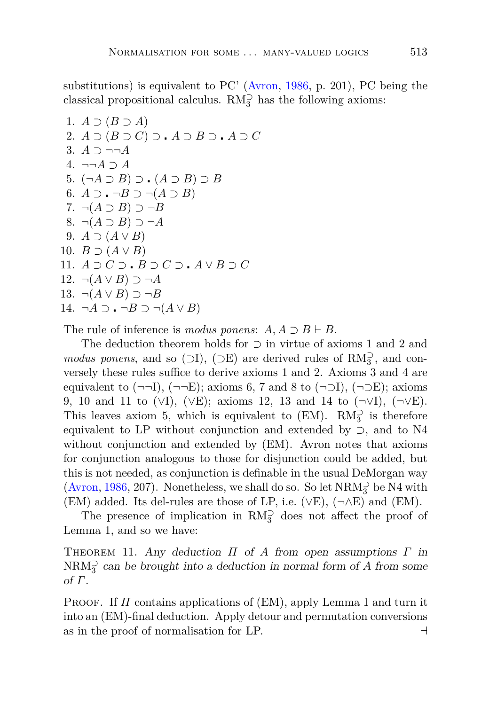substitutions) is equivalent to PC' [\(Avron,](#page-38-6) [1986,](#page-38-6) p. 201), PC being the classical propositional calculus.  $\mathrm{RM}_3^\supset$  has the following axioms:

1. 
$$
A \supset (B \supset A)
$$
  
\n2.  $A \supset (B \supset C) \supset A \supset B \supset A \supset C$   
\n3.  $A \supset \neg\neg A$   
\n4.  $\neg\neg A \supset A$   
\n5.  $(\neg A \supset B) \supset (A \supset B) \supset B$   
\n6.  $A \supset \neg B \supset \neg (A \supset B)$   
\n7.  $\neg (A \supset B) \supset \neg B$   
\n8.  $\neg (A \supset B) \supset \neg A$   
\n9.  $A \supset (A \vee B)$   
\n10.  $B \supset (A \vee B)$   
\n11.  $A \supset C \supset B \supset C \supset A \vee B \supset C$   
\n12.  $\neg (A \vee B) \supset \neg A$   
\n13.  $\neg (A \vee B) \supset \neg B$   
\n14.  $\neg A \supset \neg B \supset \neg (A \vee B)$ 

The rule of inference is *modus ponens*:  $A, A \supset B \vdash B$ .

The deduction theorem holds for ⊃ in virtue of axioms 1 and 2 and *modus ponens*, and so ( $\supset$ I), ( $\supset$ E) are derived rules of RM<sub>3</sub><sup>2</sup>, and conversely these rules suffice to derive axioms 1 and 2. Axioms 3 and 4 are equivalent to  $(\neg\neg I), (\neg\neg E)$ ; axioms 6, 7 and 8 to  $(\neg\neg I), (\neg\neg E)$ ; axioms 9, 10 and 11 to (∨I), (∨E); axioms 12, 13 and 14 to (¬∨I), (¬∨E). This leaves axiom 5, which is equivalent to  $(EM)$ .  $RM_3^{\supset}$  is therefore equivalent to LP without conjunction and extended by ⊃, and to N4 without conjunction and extended by (EM). Avron notes that axioms for conjunction analogous to those for disjunction could be added, but this is not needed, as conjunction is definable in the usual DeMorgan way [\(Avron](#page-38-6), [1986,](#page-38-6) 207). Nonetheless, we shall do so. So let  $\text{NRM}_3^{\supset}$  be N4 with (EM) added. Its del-rules are those of LP, i.e.  $(\vee E)$ ,  $(\neg \wedge E)$  and  $(EM)$ .

<span id="page-20-0"></span>The presence of implication in  $RM_3^{\supset}$  does not affect the proof of Lemma 1, and so we have:

Theorem 11. Any deduction *Π* of *A* from open assumptions *Γ* in  $\text{NRM}_3^{\supset}$  can be brought into a deduction in normal form of *A* from some of *Γ*.

Proof. If *Π* contains applications of (EM), apply Lemma 1 and turn it into an (EM)-final deduction. Apply detour and permutation conversions as in the proof of normalisation for LP.  $\Box$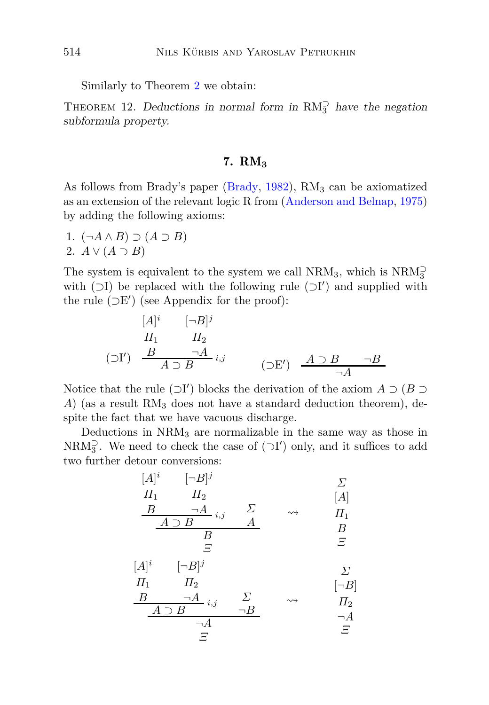Similarly to Theorem [2](#page-13-1) we obtain:

<span id="page-21-0"></span>THEOREM 12. Deductions in normal form in  $RM_3^{\supset}$  have the negation subformula property.

## 7. RM**<sup>3</sup>**

As follows from Brady's paper [\(Brady,](#page-38-12)  $1982$ ), RM<sub>3</sub> can be axiomatized as an extension of the relevant logic R from [\(Anderson and Belnap,](#page-37-3) [1975](#page-37-3)) by adding the following axioms:

1. (¬*A* ∧ *B*) ⊃ (*A* ⊃ *B*) 2.  $A \vee (A \supset B)$ 

The system is equivalent to the system we call  $\mathrm{NRM}_3,$  which is  $\mathrm{NRM}_3^{\supset}$ with  $(□I)$  be replaced with the following rule  $(□I')$  and supplied with the rule  $(\supset E')$  (see Appendix for the proof):

$$
[A]^{i} \qquad [\neg B]^{j}
$$
  
\n
$$
\Pi_{1} \qquad \Pi_{2}
$$
  
\n
$$
(\supset I') \qquad \frac{B}{A \supset B} \qquad \qquad \neg A \qquad \qquad (\supset E') \qquad \frac{A \supset B}{\neg A} \qquad \neg B
$$

Notice that the rule  $(\supset I')$  blocks the derivation of the axiom  $A \supset (B \supset I')$ *A*) (as a result RM<sub>3</sub> does not have a standard deduction theorem), despite the fact that we have vacuous discharge.

Deductions in  $NRM<sub>3</sub>$  are normalizable in the same way as those in NRM<sub>3</sub><sup>2</sup>. We need to check the case of  $(\supset I')$  only, and it suffices to add two further detour conversions:

[*A*] *i Π*<sup>1</sup> *B* [¬*B*] *j Π*<sup>2</sup> ¬*A i,j A* ⊃ *B Σ A B Ξ Σ* [*A*] *Π*<sup>1</sup> *B Ξ* [*A*] *i Π*<sup>1</sup> *B* [¬*B*] *j Π*<sup>2</sup> ¬*A i,j A* ⊃ *B Σ* ¬*B* ¬*A Ξ Σ* [¬*B*] *Π*<sup>2</sup> ¬*A Ξ*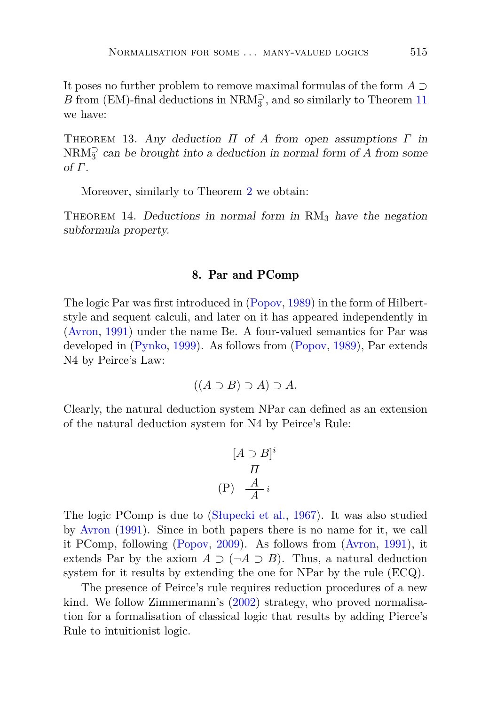It poses no further problem to remove maximal formulas of the form *A* ⊃  $B$  from (EM)-final deductions in  $\mathrm{NRM}_3^{\supset},$  and so similarly to Theorem  $11$ we have:

Theorem 13. Any deduction *Π* of *A* from open assumptions *Γ* in  $\text{NRM}_3^{\supset}$  can be brought into a deduction in normal form of *A* from some of *Γ*.

Moreover, similarly to Theorem [2](#page-13-1) we obtain:

<span id="page-22-0"></span>THEOREM 14. Deductions in normal form in  $\text{RM}_3$  have the negation subformula property.

### 8. Par and PComp

The logic Par was first introduced in [\(Popov](#page-40-6), [1989\)](#page-40-6) in the form of Hilbertstyle and sequent calculi, and later on it has appeared independently in [\(Avron](#page-38-0), [1991\)](#page-38-0) under the name Be. A four-valued semantics for Par was developed in [\(Pynko,](#page-40-9) [1999\)](#page-40-9). As follows from [\(Popov](#page-40-6), [1989\)](#page-40-6), Par extends N4 by Peirce's Law:

$$
((A \supset B) \supset A) \supset A.
$$

Clearly, the natural deduction system NPar can defined as an extension of the natural deduction system for N4 by Peirce's Rule:

$$
[A \supset B]^i
$$

$$
\Pi
$$

$$
(P) \frac{A}{A}i
$$

The logic PComp is due to [\(Słupecki et al.,](#page-40-7) [1967\)](#page-40-7). It was also studied by [Avron](#page-38-0) [\(1991\)](#page-38-0). Since in both papers there is no name for it, we call it PComp, following [\(Popov](#page-40-8), [2009\)](#page-40-8). As follows from [\(Avron](#page-38-0), [1991\)](#page-38-0), it extends Par by the axiom  $A \supset (\neg A \supset B)$ . Thus, a natural deduction system for it results by extending the one for NPar by the rule (ECQ).

The presence of Peirce's rule requires reduction procedures of a new kind. We follow Zimmermann's [\(2002](#page-41-3)) strategy, who proved normalisation for a formalisation of classical logic that results by adding Pierce's Rule to intuitionist logic.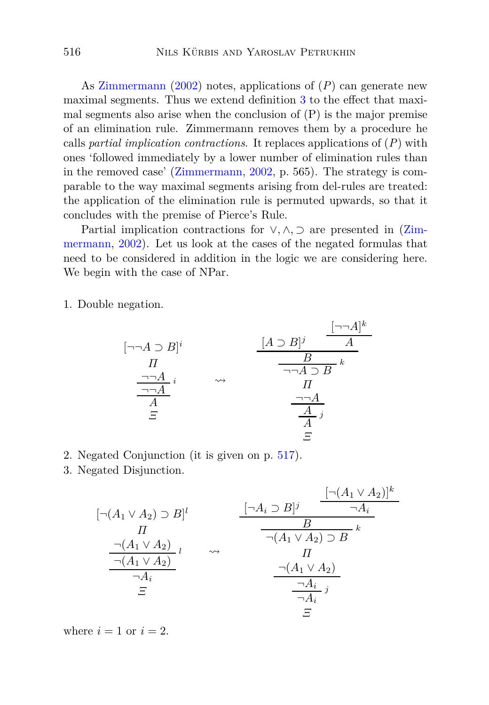As [Zimmermann](#page-41-3) [\(2002](#page-41-3)) notes, applications of (*P*) can generate new maximal segments. Thus we extend definition [3](#page-5-1) to the effect that maximal segments also arise when the conclusion of  $(P)$  is the major premise of an elimination rule. Zimmermann removes them by a procedure he calls *partial implication contractions*. It replaces applications of (*P*) with ones 'followed immediately by a lower number of elimination rules than in the removed case' [\(Zimmermann](#page-41-3), [2002,](#page-41-3) p. 565). The strategy is comparable to the way maximal segments arising from del-rules are treated: the application of the elimination rule is permuted upwards, so that it concludes with the premise of Pierce's Rule.

Parti[al implication contractions for](#page-41-3) ∨*,* ∧*,* ⊃ are presented in (Zimmermann, [2002\)](#page-41-3). Let us look at the cases of the negated formulas that need to be considered in addition in the logic we are considering here. We begin with the case of NPar.

1. Double negation.

$$
[\neg\neg A \supset B]^{i} \qquad \qquad \underbrace{[A \supset B]^{j} \qquad A}_{\neg\neg A \supset B}^{[\neg\neg A]^{k}}_{\text{A}} \\
\underbrace{\frac{\neg\neg A}{\neg A}^{i}}_{\varXi}^{i} \qquad \leadsto \qquad \underbrace{\frac{[A \supset B]^{j} \qquad A}{A}}_{\text{II}}^{I} \\
\underbrace{\frac{\neg\neg A}{\neg A}}_{\varXi}^{j} \\
\varXi
$$

- 2. Negated Conjunction (it is given on p. [517\)](#page-22-0).
- 3. Negated Disjunction.

$$
[\neg(A_1 \lor A_2) \supset B]^l \qquad \qquad \frac{[\neg(A_1 \lor A_2)]^k}{H}
$$
\n
$$
\frac{\neg(A_1 \lor A_2)}{\neg(A_1 \lor A_2)} \downarrow \qquad \qquad \neg A_i
$$
\n
$$
\frac{\neg(A_1 \lor A_2)}{\neg(A_1 \lor A_2)} \downarrow \qquad \qquad \qquad \frac{\neg(A_1 \lor A_2) \supset B}{H}
$$
\n
$$
\frac{\neg(A_1 \lor A_2)}{\neg A_i}
$$
\n
$$
\frac{\neg(A_1 \lor A_2)}{\neg A_i}
$$
\n
$$
\frac{\neg A_i}{\neg A_i} \downarrow j
$$
\n
$$
\equiv
$$

[¬(*A*<sup>1</sup> ∨ *A*2)]*<sup>k</sup>*

where  $i = 1$  or  $i = 2$ .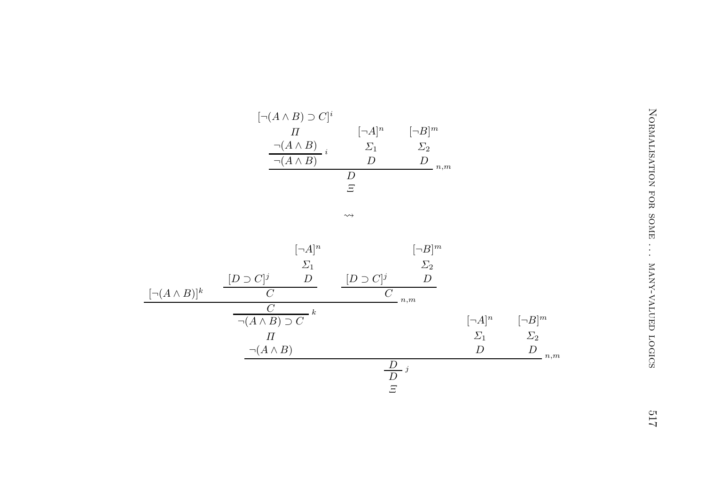| [¬A] <sup>n</sup> | [¬B] <sup>m</sup> |
|-------------------|-------------------|
| $\sum_{1}$        | $\sum_{2}$        |
| $\left( \right)$  | ,,<br>n,m         |
| ,,                |                   |
| F                 |                   |
|                   |                   |

|                        | $[\neg(A \land B) \supset C]^i$                 |                             |                           |                  |                  |                        |
|------------------------|-------------------------------------------------|-----------------------------|---------------------------|------------------|------------------|------------------------|
|                        | $\varPi$                                        | $[\neg A]^n$                | $[\neg B]^m$              |                  |                  | NORMALISATION FOR SOME |
|                        | $\neg(A \land B)$                               | $\varSigma_1$               | $\varSigma_2$             |                  |                  |                        |
|                        | $\neg(A \wedge B)$                              | $\boldsymbol{D}$            | $\boldsymbol{D}$<br>$n,m$ |                  |                  |                        |
|                        |                                                 | $\overline{D}$              |                           |                  |                  |                        |
|                        |                                                 | $\Xi$                       |                           |                  |                  |                        |
|                        |                                                 | $\rightsquigarrow$          |                           |                  |                  |                        |
|                        |                                                 |                             |                           |                  |                  |                        |
|                        |                                                 |                             |                           |                  |                  |                        |
|                        | $[\neg A]^n$                                    |                             | $[\neg B]^m$              |                  |                  |                        |
|                        | $\varSigma_1$                                   |                             | $\varSigma_2$             |                  |                  |                        |
|                        | $\boldsymbol{D}$<br>$[D\supset C]^j$            | $[D \supset C]^j$           | $\boldsymbol{D}$          |                  |                  |                        |
| $[\neg(A \wedge B)]^k$ | $\overline{C}$                                  | $\overline{C}$              | n,m                       |                  |                  |                        |
|                        | $\cal C$<br>$-k$<br>$\neg(A \land B) \supset C$ |                             |                           | $[\neg A]^n$     | $[\neg B]^m$     | MANY-VALUED LOGICS     |
|                        | $\varPi$                                        |                             |                           | $\varSigma_1$    | $\varSigma_2$    |                        |
|                        | $\neg (A \land B)$                              |                             |                           | $\boldsymbol{D}$ | $\boldsymbol{D}$ |                        |
|                        |                                                 |                             |                           |                  | n,m              |                        |
|                        |                                                 | $rac{D}{D}j$<br>$rac{D}{E}$ |                           |                  |                  |                        |
|                        |                                                 |                             |                           |                  |                  |                        |
|                        |                                                 |                             |                           |                  |                  |                        |
|                        |                                                 |                             |                           |                  |                  | 21 <sup>C</sup>        |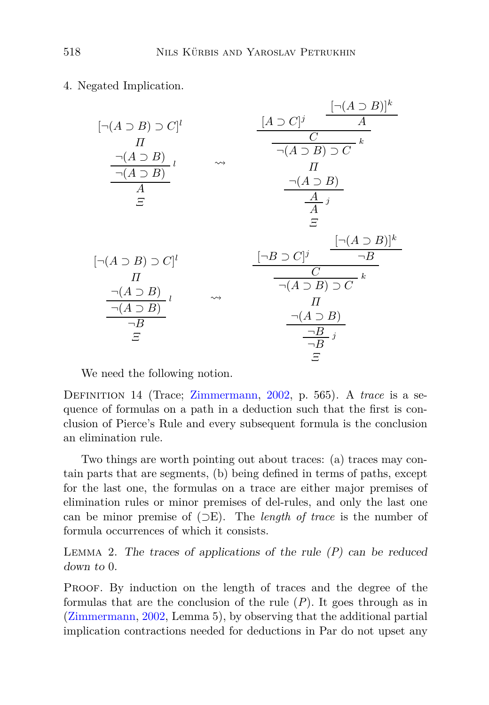4. Negated Implication.

| $[\neg(A \supset B) \supset C]^l$<br>$\boldsymbol{\varPi}$<br>$\neg(A \supset B)_{l}$<br>$\neg(A \supset B)$<br>A<br>Ξ |                    | $\lbrack\neg(A\supset B)\rbrack^k$<br>$[A \supset C]^j$<br>A<br>$\boldsymbol{k}$<br>$\neg(A \supset B) \supset C$<br>П<br>$\neg(A \supset B)$<br>$\frac{\overline{A}}{A}$ <i>i</i><br>F |
|------------------------------------------------------------------------------------------------------------------------|--------------------|-----------------------------------------------------------------------------------------------------------------------------------------------------------------------------------------|
| $\lbrack\neg(A\supset B)\supset C]^l$<br>П<br>$\neg(A \supset B)$<br>$\neg(A \supset B)$<br>$\neg B$<br>F              | $\rightsquigarrow$ | $\lbrack\neg(A\supset B)\rbrack^k$<br>$[\neg B \supset C]^j$<br>$\neg B$<br>C<br>$\frac{1}{\neg(A \supset B) \supset C} k$<br>П<br>$\neg(A \supset B)$<br>$\neg B$ <sub>j</sub><br>Ξ    |

We need the following notion.

Definition 14 (Trace; [Zimmermann](#page-41-3), [2002](#page-41-3), p. 565). A *trace* is a sequence of formulas on a path in a deduction such that the first is conclusion of Pierce's Rule and every subsequent formula is the conclusion an elimination rule.

Two things are worth pointing out about traces: (a) traces may contain parts that are segments, (b) being defined in terms of paths, except for the last one, the formulas on a trace are either major premises of elimination rules or minor premises of del-rules, and only the last one can be minor premise of (⊃E). The *length of trace* is the number of formula occurrences of which it consists.

<span id="page-25-0"></span>Lemma 2. The traces of applications of the rule (*P*) can be reduced down to 0.

PROOF. By induction on the length of traces and the degree of the formulas that are the conclusion of the rule (*P*). It goes through as in [\(Zimmermann](#page-41-3), [2002](#page-41-3), Lemma 5), by observing that the additional partial implication contractions needed for deductions in Par do not upset any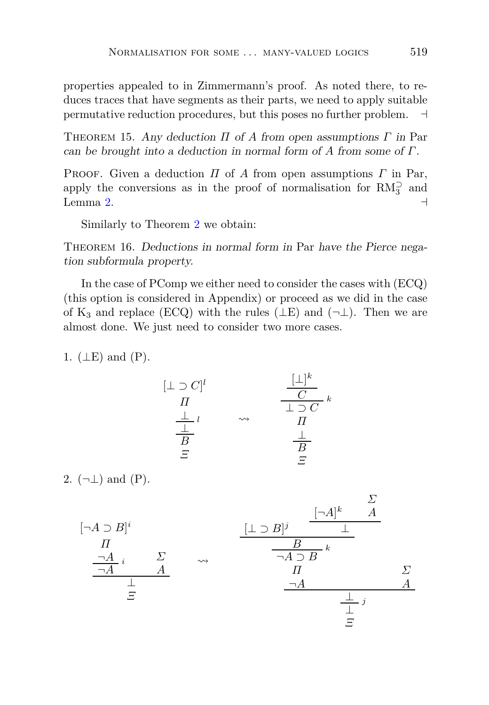properties appealed to in Zimmermann's proof. As noted there, to reduces traces that have segments as their parts, we need to apply suitable permutative reduction procedures, but this poses no further problem. ⊣

<span id="page-26-0"></span>Theorem 15. Any deduction *Π* of *A* from open assumptions *Γ* in Par can be brought into a deduction in normal form of *A* from some of *Γ*.

Proof. Given a deduction *Π* of *A* from open assumptions *Γ* in Par, apply the conversions as in the proof of normalisation for  $RM_3^{\supset}$  and Lemma [2.](#page-25-0)  $\rightarrow$ 

Similarly to Theorem [2](#page-13-1) we obtain:

THEOREM 16. Deductions in normal form in Par have the Pierce negation subformula property.

In the case of PComp we either need to consider the cases with (ECQ) (this option is considered in Appendix) or proceed as we did in the case of K<sub>3</sub> and replace (ECQ) with the rules ( $\perp$ E) and ( $\neg$  $\perp$ ). Then we are almost done. We just need to consider two more cases.

1.  $(\perp E)$  and  $(P)$ .

$$
[\bot \supset C]^l
$$
  
\n
$$
\frac{\bot}{\Pi} \qquad \rightsquigarrow \qquad \frac{[\bot]^k}{\bot \supset C} \kappa
$$
  
\n
$$
\frac{\bot}{B} \qquad \qquad \frac{\bot}{\Pi}
$$
  
\n
$$
\frac{\bot}{B} \qquad \qquad \frac{\bot}{B}
$$
  
\n
$$
\frac{\bot}{B} \qquad \qquad \frac{\bot}{B}
$$

2.  $(\neg \bot)$  and  $(P)$ .

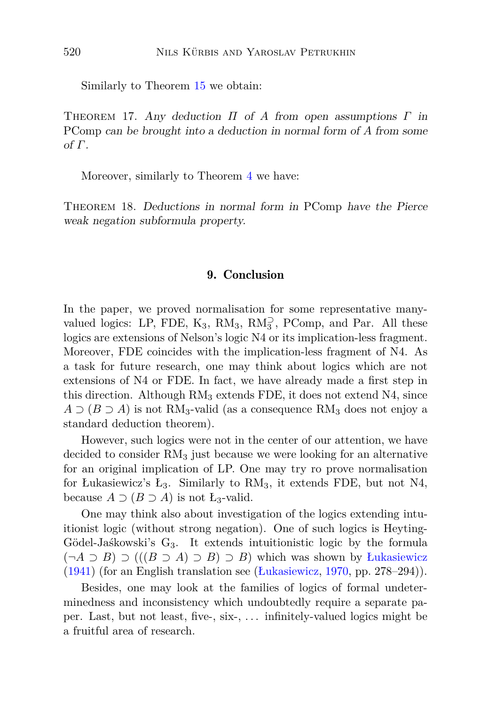Similarly to Theorem [15](#page-26-0) we obtain:

Theorem 17. Any deduction *Π* of *A* from open assumptions *Γ* in PComp can be brought into a deduction in normal form of *A* from some of *Γ*.

Moreover, similarly to Theorem [4](#page-15-0) we have:

<span id="page-27-0"></span>THEOREM 18. Deductions in normal form in PComp have the Pierce weak negation subformula property.

### 9. Conclusion

In the paper, we proved normalisation for some representative manyvalued logics: LP, FDE,  $K_3$ ,  $RM_3$ ,  $RM_3^{\supset}$ , PComp, and Par. All these logics are extensions of Nelson's logic N4 or its implication-less fragment. Moreover, FDE coincides with the implication-less fragment of N4. As a task for future research, one may think about logics which are not extensions of N4 or FDE. In fact, we have already made a first step in this direction. Although  $RM_3$  extends FDE, it does not extend  $N4$ , since  $A \supset (B \supset A)$  is not RM<sub>3</sub>-valid (as a consequence RM<sub>3</sub> does not enjoy a standard deduction theorem).

However, such logics were not in the center of our attention, we have decided to consider  $RM<sub>3</sub>$  just because we were looking for an alternative for an original implication of LP. One may try ro prove normalisation for Łukasiewicz's  $L_3$ . Similarly to  $RM_3$ , it extends FDE, but not N4, because  $A \supset (B \supset A)$  is not  $L_3$ -valid.

One may think also about investigation of the logics extending intuitionist logic (without strong negation). One of such logics is Heyting-Gödel-Jaśkowski's  $G_3$ . It extends intuitionistic logic by the formula (¬*A* ⊃ *B*) ⊃ (((*B* ⊃ *A*) ⊃ *B*) ⊃ *B*) which was shown by [Łukasiewicz](#page-39-13) [\(1941](#page-39-13)) (for an English translation see [\(Łukasiewicz](#page-39-7), [1970](#page-39-7), pp. 278–294)).

Besides, one may look at the families of logics of formal undeterminedness and inconsistency which undoubtedly require a separate paper. Last, but not least, five-, six-, . . . infinitely-valued logics might be a fruitful area of research.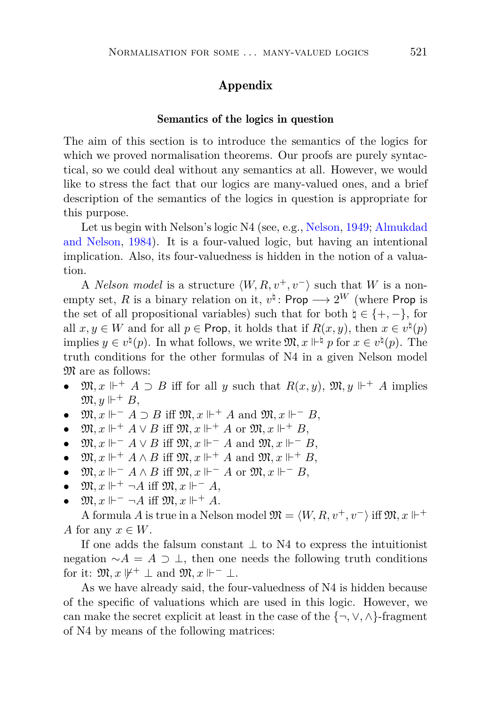## Appendix

#### Semantics of the logics in question

The aim of this section is to introduce the semantics of the logics for which we proved normalisation theorems. Our proofs are purely syntactical, so we could deal without any semantics at all. However, we would like to stress the fact that our logics are many-valued ones, and a brief description of the semantics of the logics in question is appropriate for this purpose.

Let us b[egin with Nelson's logic N4 \(see, e.g.,](#page-37-1) [Nelson](#page-39-0), [1949](#page-39-0); Almukdad and Nelson, [1984\)](#page-37-1). It is a four-valued logic, but having an intentional implication. Also, its four-valuedness is hidden in the notion of a valuation.

A *Nelson model* is a structure  $\langle W, R, v^+, v^- \rangle$  such that *W* is a nonempty set, *R* is a binary relation on it,  $v^{\natural}$ : Prop  $\longrightarrow 2^{W}$  (where Prop is the set of all propositional variables) such that for both  $\natural \in \{+, -\},\$ for all  $x, y \in W$  and for all  $p \in \text{Prop}$ , it holds that if  $R(x, y)$ , then  $x \in v^{\natural}(p)$ implies  $y \in v^{\natural}(p)$ . In what follows, we write  $\mathfrak{M}, x \Vdash^{\natural} p$  for  $x \in v^{\natural}(p)$ . The truth conditions for the other formulas of N4 in a given Nelson model  $\mathfrak{M}$  are as follows:

- $\mathfrak{M}, x \Vdash^+ A \supset B$  iff for all *y* such that  $R(x, y)$ ,  $\mathfrak{M}, y \Vdash^+ A$  implies  $\mathfrak{M}, y \Vdash^+ B$ ,
- $\mathfrak{M}, x \Vdash^{-} A \supset B$  iff  $\mathfrak{M}, x \Vdash^{+} A$  and  $\mathfrak{M}, x \Vdash^{-} B$ ,
- $\mathfrak{M}, x \Vdash^+ A \vee B$  iff  $\mathfrak{M}, x \Vdash^+ A$  or  $\mathfrak{M}, x \Vdash^+ B$ ,
- $\mathfrak{M}, x \Vdash^{-} A \vee B$  iff  $\mathfrak{M}, x \Vdash^{-} A$  and  $\mathfrak{M}, x \Vdash^{-} B$ ,
- $\mathfrak{M}, x \Vdash^+ A \wedge B$  iff  $\mathfrak{M}, x \Vdash^+ A$  and  $\mathfrak{M}, x \Vdash^+ B$ ,
- $\mathfrak{M}, x \Vdash^{-} A \wedge B$  iff  $\mathfrak{M}, x \Vdash^{-} A$  or  $\mathfrak{M}, x \Vdash^{-} B$ ,
- $\mathfrak{M}, x \Vdash^+ \neg A$  iff  $\mathfrak{M}, x \Vdash^- A$ ,
- $\mathfrak{M}, x \Vdash^{-} \neg A$  iff  $\mathfrak{M}, x \Vdash^{+} A$ .

A formula *A* is true in a Nelson model  $\mathfrak{M} = \langle W, R, v^+, v^- \rangle$  iff  $\mathfrak{M}, x \Vdash^+$ *A* for any  $x \in W$ .

If one adds the falsum constant  $\perp$  to N4 to express the intuitionist negation  $\sim$ *A* = *A* ⊃ ⊥, then one needs the following truth conditions for it:  $\mathfrak{M}, x \not\Vdash^+ \perp$  and  $\mathfrak{M}, x \Vdash^- \perp$ .

As we have already said, the four-valuedness of N4 is hidden because of the specific of valuations which are used in this logic. However, we can make the secret explicit at least in the case of the  $\{\neg, \vee, \wedge\}$ -fragment of N4 by means of the following matrices: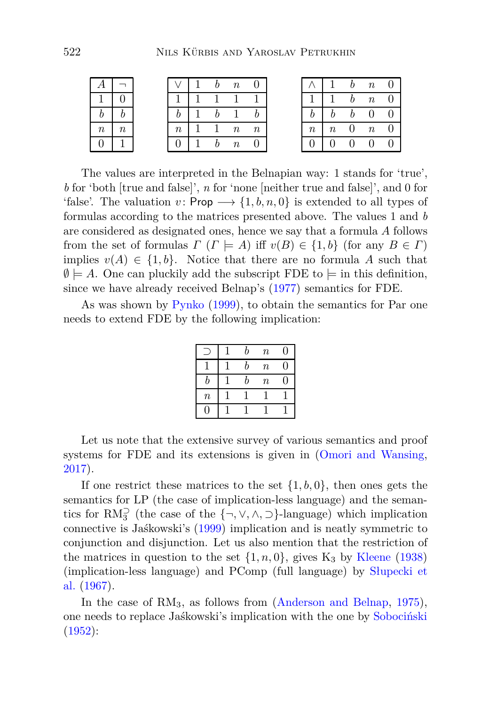|         |  |       |  | $\boldsymbol{n}$ |                  |        |          | h  | $\boldsymbol{n}$ |  |
|---------|--|-------|--|------------------|------------------|--------|----------|----|------------------|--|
|         |  |       |  |                  |                  |        |          | h. | $\boldsymbol{n}$ |  |
|         |  |       |  |                  |                  |        |          |    | $b\quad 0$       |  |
| $\it n$ |  | $\,n$ |  | $\overline{n}$   | $\boldsymbol{n}$ | $\, n$ | $\it{n}$ | U  | $\overline{n}$   |  |
|         |  |       |  | $\boldsymbol{n}$ |                  |        |          |    | $\overline{0}$   |  |

The values are interpreted in the Belnapian way: 1 stands for 'true', *b* for 'both [true and false]', *n* for 'none [neither true and false]', and 0 for 'false'. The valuation  $v: \mathsf{Prop} \longrightarrow \{1, b, n, 0\}$  is extended to all types of formulas according to the matrices presented above. The values 1 and *b* are considered as designated ones, hence we say that a formula *A* follows from the set of formulas  $\Gamma$  ( $\Gamma \models A$ ) iff  $v(B) \in \{1, b\}$  (for any  $B \in \Gamma$ ) implies  $v(A) \in \{1, b\}$ . Notice that there are no formula A such that  $\emptyset \models A$ . One can pluckily add the subscript FDE to  $\models$  in this definition, since we have already received Belnap's [\(1977](#page-38-10)) semantics for FDE.

As was shown by [Pynko](#page-40-9) [\(1999](#page-40-9)), to obtain the semantics for Par one needs to extend FDE by the following implication:

|         | h | $\boldsymbol{n}$ | 0  |
|---------|---|------------------|----|
|         | h | $\boldsymbol{n}$ | 0  |
| h       | h | $\boldsymbol{n}$ | O) |
| $\it n$ |   |                  |    |
| 0       |   |                  |    |

Let us note that the extensive survey of various semantics and proof systems for FDE and its extensions is given in [\(Omori and Wansing,](#page-39-4) [2017](#page-39-4)).

If one restrict these matrices to the set {1*, b,* 0}, then ones gets the semantics for LP (the case of implication-less language) and the semantics for  $RM_3^{\supset}$  (the case of the  $\{\neg, \vee, \wedge, \supset\}$ -language) which implication connective is Jaśkowski's [\(1999\)](#page-38-4) implication and is neatly symmetric to conjunction and disjunction. Let us also mention that the restriction of the matrices in question to the set  $\{1, n, 0\}$ , gives  $K_3$  by [Kleene](#page-39-5) [\(1938](#page-39-5)) (i[mplication-less language\) and PComp \(full language\) by](#page-40-7) Słupecki et al. [\(1967](#page-40-7)).

In the case of RM<sub>3</sub>, as follows from [\(Anderson and Belnap,](#page-37-3) [1975](#page-37-3)), one needs to replace Jaśkowski's implication with the one by [Sobociński](#page-40-5) [\(1952](#page-40-5)):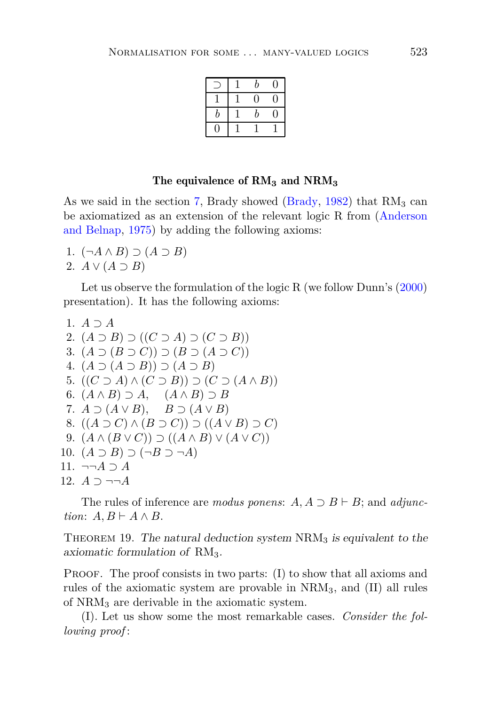|   | b  | J  |
|---|----|----|
|   | IJ | I) |
| h | b  | 1  |
|   |    |    |

### The equivalence of RM**<sup>3</sup>** and NRM**<sup>3</sup>**

As we said in the section [7,](#page-21-0) Brady showed [\(Brady](#page-38-12), [1982\)](#page-38-12) that  $RM_3$  can be axiomat[ized as an extension of the relevant logic R from \(](#page-37-3)Anderson and Belnap, [1975\)](#page-37-3) by adding the following axioms:

- 1. (¬*A* ∧ *B*) ⊃ (*A* ⊃ *B*)
- 2.  $A \vee (A \supset B)$

Let us observe the formulation of the logic R (we follow Dunn's [\(2000](#page-38-13)) presentation). It has the following axioms:

```
1. A ⊃ A
 2. (A \supset B) \supset ((C \supset A) \supset (C \supset B))3. (A \supset (B \supset C)) \supset (B \supset (A \supset C))4. (A ⊃ (A ⊃ B)) ⊃ (A ⊃ B)
 5. ((C \supset A) \wedge (C \supset B)) \supset (C \supset (A \wedge B))6. (A \wedge B) \supset A, (A \wedge B) \supset B7. A \supset (A \vee B), B \supset (A \vee B)8. ((A ⊇ C) ∧ (B ⊇ C)) ⊇ ((A ∨ B) ⊇ C)9. (A \wedge (B \vee C)) \supset ((A \wedge B) \vee (A \vee C))10. (A ⊃ B) ⊃ (¬B ⊃ ¬A)
11. ¬¬A ⊃ A
12. A ⊃ ¬¬A
```
<span id="page-30-0"></span>The rules of inference are *modus ponens*:  $A, A \supset B \vdash B$ ; and *adjunction*:  $A, B \vdash A \land B$ .

THEOREM 19. The natural deduction system  $NRM<sub>3</sub>$  is equivalent to the axiomatic formulation of  $RM_3$ .

PROOF. The proof consists in two parts: (I) to show that all axioms and rules of the axiomatic system are provable in NRM3, and (II) all rules of NRM<sup>3</sup> are derivable in the axiomatic system.

(I). Let us show some the most remarkable cases. *Consider the following proof* :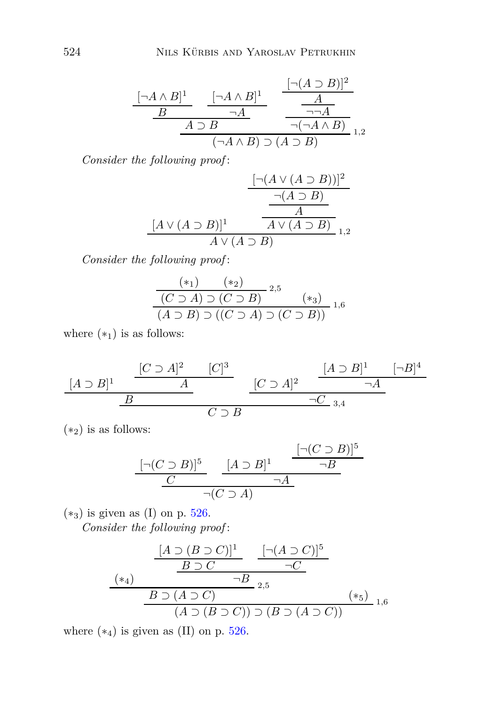$$
\frac{[\neg A \land B]^1}{B} \xrightarrow[\neg A \land B] \neg A} \frac{[\neg (A \supset B)]^2}{\neg A} \frac{A}{\neg \neg A}
$$
  
\n
$$
\frac{A \supset B}{(\neg A \land B) \supset (A \supset B)} \frac{1}{1,2}
$$

*Consider the following proof* :

$$
\frac{\left[\neg(A \lor (A \supset B))\right]^2}{\neg(A \supset B)}
$$
\n
$$
\frac{\neg(A \supset B)}{A}
$$
\n
$$
\frac{[A \lor (A \supset B)]^1}{A \lor (A \supset B)}
$$
\n
$$
\frac{1}{1,2}
$$

*Consider the following proof* :

$$
\frac{(*)}{(C \supset A) \supset (C \supset B)} 2,5
$$
  
(A \supset B) \supset ((C \supset A) \supset (C \supset B)) 1,6

where  $(*_1)$  is as follows:

$$
\frac{[A \supset B]^1 \quad \frac{[C \supset A]^2 \quad [C]^3}{A}}{B} \quad \frac{[C \supset A]^2 \quad \frac{[A \supset B]^1 \quad [-B]^4}{\neg A}}{\neg C \supset B}
$$

 $(*_2)$  is as follows:

$$
\frac{[\neg(C \supset B)]^5}{C} \xrightarrow[\neg(C \supset A]{[A \supset B]^1} \frac{[\neg(C \supset B)]^5}{\neg B}
$$

 $(*_3)$  is given as (I) on p. [526.](#page-30-0)

*Consider the following proof* :

$$
\frac{[A \supset (B \supset C)]^{1}}{B \supset C} \xrightarrow{-G} \frac{[\neg (A \supset C)]^{5}}{\neg C}
$$
\n
$$
\xrightarrow{B \supset (A \supset C)} \neg B_{2,5} \qquad (*)
$$
\n
$$
(A \supset (B \supset C)) \supset (B \supset (A \supset C))}{(A \supset (B \supset C)) \supset (B \supset (A \supset C))} \neg B_{1,6}
$$

where  $(*_4)$  is given as (II) on p. [526.](#page-30-0)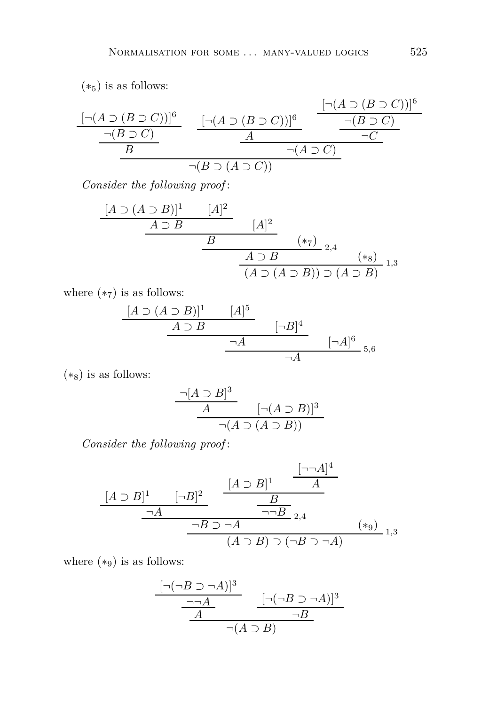$(*<sub>5</sub>)$  is as follows:

$$
\frac{[\neg(A \supset (B \supset C))]^{6}}{B} \qquad \frac{[\neg(A \supset (B \supset C))]^{6}}{A} \qquad \frac{[\neg(A \supset (B \supset C))]^{6}}{\neg(B \supset C)} \qquad \frac{[\neg(A \supset (B \supset C))]^{6}}{\neg(C)}
$$

*Consider the following proof* :

$$
\begin{array}{c|c}\n[A \supset (A \supset B)]^1 & [A]^2 \\
\hline\n& A \supset B & [A]^2 \\
\hline\n& B & (*7) \\
\hline\n& A \supset B & (*8) \\
\hline\n& (A \supset (A \supset B)) \supset (A \supset B) & 1,3\n\end{array}
$$

where  $(*_7)$  is as follows:

$$
\begin{array}{ccc}\n[A \supset (A \supset B)]^1 & [A]^5 \\
\hline\n& A \supset B & [-B]^4 \\
\hline\n& \neg A & [-A]^6 \\
\hline\n& \neg A & [A]^6\n\end{array}
$$

 $(*<sub>8</sub>)$  is as follows:

$$
\frac{\neg[A \supset B]^3}{A} \qquad [\neg(A \supset B)]^3
$$
  
 
$$
\neg(A \supset (A \supset B))
$$

*Consider the following proof* :

$$
\frac{[A \supset B]^1}{\neg A} \xrightarrow{[-\neg A]^2} \frac{\frac{[A \supset B]^1}{B}}{\neg B \supset \neg A} \xrightarrow{[A \supset B] \supset (A \supset B) \supset (\neg B \supset \neg A)} 1,3}
$$

where  $(*_9)$  is as follows:

$$
\frac{\frac{[\neg(\neg B \supset \neg A)]^3}{\neg A} \qquad [\neg(\neg B \supset \neg A)]^3}{A} \qquad \frac{[\neg(\neg B \supset \neg A)]^3}{\neg B}
$$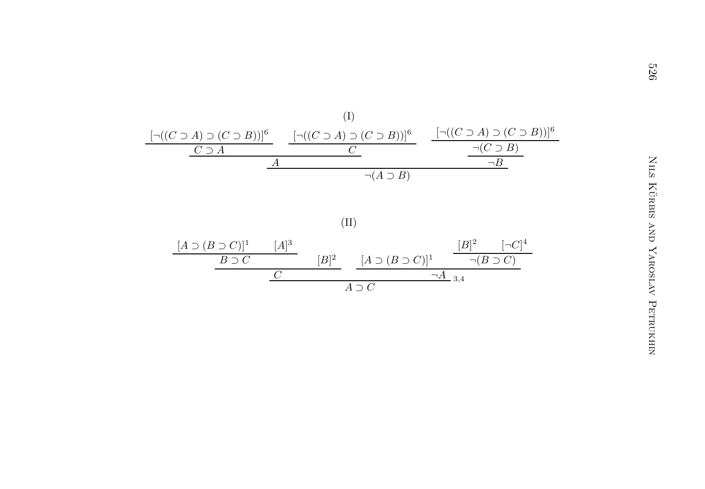

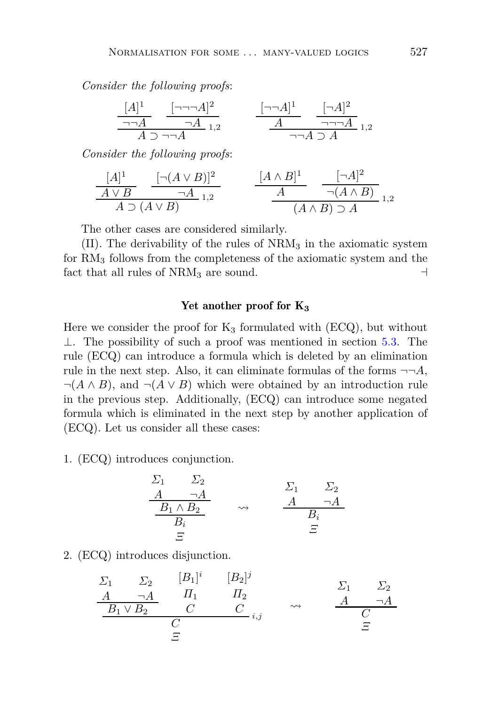*Consider the following proofs*:

$$
\frac{[A]^1}{\neg A} \quad \frac{[\neg \neg A]^2}{\neg A}_{1,2} \qquad \frac{[\neg \neg A]^1}{A} \quad \frac{[\neg A]^2}{\neg \neg A}_{1,2}
$$
\n
$$
\frac{A}{\neg A} \quad \frac{[\neg A]^2}{\neg A} \quad 1,2
$$

*Consider the following proofs*:

$$
\frac{[A]^1}{A \vee B} \xrightarrow[\text{A} \supset (A \vee B)] \xrightarrow{1,2} \qquad \frac{[A \wedge B]^1}{A} \xrightarrow[\text{A} \wedge B) \supset A \xrightarrow[1,2] \xrightarrow[1,2] \xrightarrow[1,2] \xrightarrow[1,2] \xrightarrow[1,2] \xrightarrow[1,2] \xrightarrow[1,2] \xrightarrow[1,2] \xrightarrow[1,2] \xrightarrow[1,2] \xrightarrow[1,2] \xrightarrow[1,2] \xrightarrow[1,2] \xrightarrow[1,2] \xrightarrow[1,2] \xrightarrow[1,2] \xrightarrow[1,2] \xrightarrow[1,2] \xrightarrow[1,2] \xrightarrow[1,2] \xrightarrow[1,2] \xrightarrow[1,2] \xrightarrow[1,2] \xrightarrow[1,2] \xrightarrow[1,2] \xrightarrow[1,2] \xrightarrow[1,2] \xrightarrow[1,2] \xrightarrow[1,2] \xrightarrow[1,2] \xrightarrow[1,2] \xrightarrow[1,2] \xrightarrow[1,2] \xrightarrow[1,2] \xrightarrow[1,2] \xrightarrow[1,2] \xrightarrow[1,2] \xrightarrow[1,2] \xrightarrow[1,2] \xrightarrow[1,2] \xrightarrow[1,2] \xrightarrow[1,2] \xrightarrow[1,2] \xrightarrow[1,2] \xrightarrow[1,2] \xrightarrow[1,2] \xrightarrow[1,2] \xrightarrow[1,2] \xrightarrow[1,2] \xrightarrow[1,2] \xrightarrow[1,2] \xrightarrow[1,2] \xrightarrow[1,2] \xrightarrow[1,2] \xrightarrow[1,2] \xrightarrow[1,2] \xrightarrow[1,2] \xrightarrow[1,2] \xrightarrow[1,2] \xrightarrow[1,2] \xrightarrow[1,2] \xrightarrow[1,2] \xrightarrow[1,2] \xrightarrow[1,2] \xrightarrow[1,2] \xrightarrow[1,2] \xrightarrow[1,2] \xrightarrow[1,2] \xrightarrow[1,2] \xrightarrow[1,2] \xrightarrow[1,2] \xrightarrow[1,2] \xrightarrow[1,2] \xrightarrow[1,2] \xrightarrow[1,2] \xrightarrow[1,2] \xrightarrow[1,2] \xrightarrow[1,2] \xrightarrow[1,2] \xrightarrow[1,2] \xrightarrow[1,2] \xrightarrow[1,2] \xrightarrow[1,2] \xrightarrow[1,2] \xrightarrow[1,2] \xrightarrow[1,
$$

The other cases are considered similarly.

 $(II)$ . The derivability of the rules of  $NRM<sub>3</sub>$  in the axiomatic system for RM<sup>3</sup> follows from the completeness of the axiomatic system and the fact that all rules of  $NRM_3$  are sound. ⊣

## Yet another proof for K<sub>3</sub>

Here we consider the proof for  $K_3$  formulated with (ECQ), but without ⊥. The possibility of such a proof was mentioned in section [5.3.](#page-19-1) The rule (ECQ) can introduce a formula which is deleted by an elimination rule in the next step. Also, it can eliminate formulas of the forms  $\neg\neg A$ ,  $\neg(A \land B)$ , and  $\neg(A \lor B)$  which were obtained by an introduction rule in the previous step. Additionally, (ECQ) can introduce some negated formula which is eliminated in the next step by another application of (ECQ). Let us consider all these cases:

1. (ECQ) introduces conjunction.

$$
\begin{array}{ccc}\n\Sigma_1 & \Sigma_2 \\
\underline{A} & \neg A \\
\underline{B_1 \wedge B_2} & \rightsquigarrow & \underline{A} & \neg A \\
\underline{B_i} & \Xi\n\end{array}
$$

2. (ECQ) introduces disjunction.

$$
\begin{array}{ccc}\n\Sigma_1 & \Sigma_2 & [B_1]^i & [B_2]^j \\
\hline\n\frac{A}{B_1 \vee B_2} & \frac{H_1}{C} & \frac{H_2}{C_1} & \downarrow \\
\hline\n\frac{B_1 \vee B_2}{C} & \frac{C}{C} & \frac{C}{C_1} & \downarrow \\
\hline\n\frac{C}{C} & \frac{C}{C} & \frac{C}{C} & \frac{C}{C}\n\end{array}
$$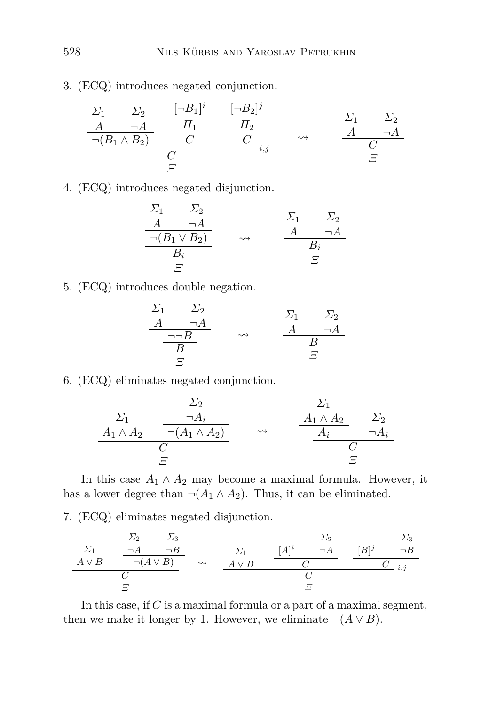3. (ECQ) introduces negated conjunction.

$$
\begin{array}{ccccccccc}\n\Sigma_1 & \Sigma_2 & [\neg B_1]^i & [\neg B_2]^j \\
\hline\nA & \neg A & H_1 & H_2 & & \Delta & \neg A \\
\hline\n\neg(B_1 \land B_2) & C & C & \dots & & A & \neg A \\
\hline\nC & C & C & \dots & C & \Xi\n\end{array}
$$

4. (ECQ) introduces negated disjunction.

$$
\begin{array}{ccc}\n\Sigma_1 & \Sigma_2 \\
\underline{A} & \neg A \\
\hline\n\neg(B_1 \lor B_2) & \rightsquigarrow & \underline{A} & \neg A \\
\underline{B_i} & \Xi\n\end{array}
$$

5. (ECQ) introduces double negation.

$$
\begin{array}{ccc}\n\Sigma_1 & \Sigma_2 \\
\underline{A} & \neg A \\
\underline{\neg \neg B} & \leadsto & \underline{A} & \neg A \\
\underline{B} & \Xi & \end{array}
$$

6. (ECQ) eliminates negated conjunction.

$$
\begin{array}{ccc}\n\Sigma_2 & \Sigma_1 \\
\hline\nA_1 \wedge A_2 & \overline{\neg(A_1 \wedge A_2)} \\
\hline\nC & \Sigma\n\end{array} \quad \rightsquigarrow \quad \begin{array}{ccc}\n\Sigma_1 & \Sigma_2 \\
\hline\nA_1 \wedge A_2 & \Sigma_2 \\
\hline\nA_i & \neg A_i \\
\hline\nC & \Sigma\n\end{array}
$$

In this case  $A_1 \wedge A_2$  may become a maximal formula. However, it has a lower degree than  $\neg(A_1 \land A_2)$ . Thus, it can be eliminated.

7. (ECQ) eliminates negated disjunction.

$$
\begin{array}{ccccccccc}\n\Sigma_1 & & \Sigma_2 & & \Sigma_3 & & & \Sigma_2 & & \Sigma_3 \\
\hline\nA \vee B & & \neg(A \vee B) & & \leadsto & & A \vee B & & & C & & \\
\hline\nC & & & & & & C & & & \\
\hline\nE & & & & & & & & \\
\end{array}
$$

In this case, if *C* is a maximal formula or a part of a maximal segment, then we make it longer by 1. However, we eliminate  $\neg(A \lor B)$ .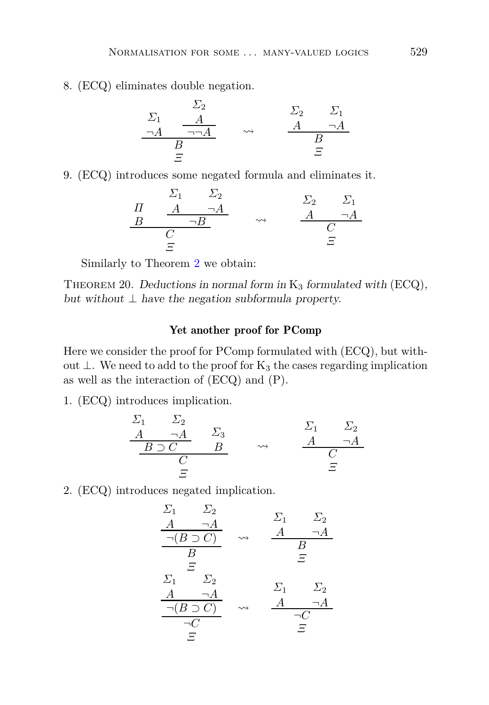8. (ECQ) eliminates double negation.

$$
\begin{array}{ccc}\n\Sigma_1 & \Sigma_2 & \Sigma_1 \\
\hline\n\neg A & \neg \Box A & \leadsto & A & \neg A \\
\hline\nB & & & & B \\
\hline\nE & & & & E\n\end{array}
$$

9. (ECQ) introduces some negated formula and eliminates it.

$$
\begin{array}{ccc}\n & \Sigma_1 & \Sigma_2 \\
\frac{H}{B} & \frac{A}{\neg A} & \longrightarrow & \frac{A}{A} & \frac{A}{\neg A} \\
\frac{B}{\varphi} & & \stackrel{\sim}{\varphi} & & \frac{A}{\varphi} \\
\Xi\n\end{array}
$$

Similarly to Theorem [2](#page-13-1) we obtain:

THEOREM 20. Deductions in normal form in  $K_3$  formulated with  $(ECQ)$ , but without  $\perp$  have the negation subformula property.

## Yet another proof for PComp

Here we consider the proof for PComp formulated with (ECQ), but without ⊥. We need to add to the proof for  $K_3$  the cases regarding implication as well as the interaction of (ECQ) and (P).

1. (ECQ) introduces implication.

$$
\begin{array}{ccc}\n\Sigma_1 & \Sigma_2 \\
\underline{A & \neg A} & \Sigma_3 \\
\underline{B \supset C} & \underline{B} & \rightarrow & \underline{A} & \neg A \\
\underline{C} & \Xi & \end{array}
$$

2. (ECQ) introduces negated implication.

$$
\frac{\Sigma_1}{A} \quad \frac{\Sigma_2}{\neg(B \supset C)} \quad \sim \quad \frac{A}{A} \quad \frac{\neg A}{B}
$$
\n
$$
\frac{\Sigma_1}{B} \quad \frac{\Sigma_2}{E}
$$
\n
$$
\frac{\Sigma_1}{\neg B} \quad \frac{\Sigma_2}{E}
$$
\n
$$
\frac{A}{\neg(A)} \quad \frac{\Sigma_1}{\neg B} \quad \frac{\Sigma_2}{E}
$$
\n
$$
\frac{\neg(B \supset C)}{\neg C} \quad \sim \quad \frac{A}{\neg C} \quad \frac{\neg A}{E}
$$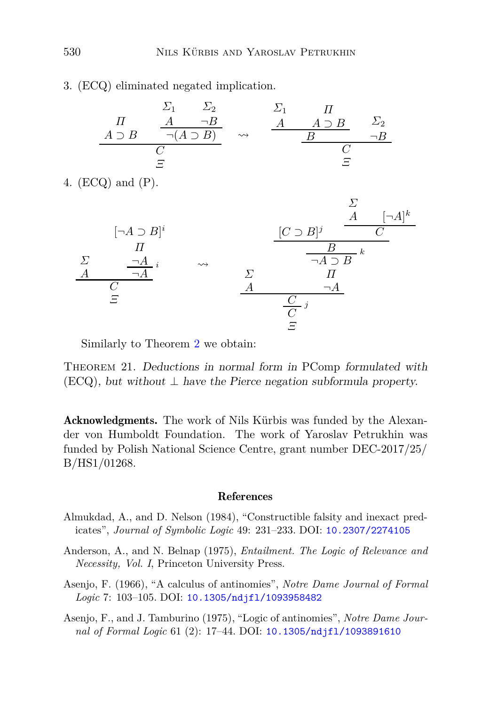3. (ECQ) eliminated negated implication.

|               |   | 22                  |                    |               |            |
|---------------|---|---------------------|--------------------|---------------|------------|
|               |   | $\neg B$            |                    | $A \supset B$ | $\sum_{2}$ |
| $A \supset B$ |   | $\neg(A \supset B)$ | $\rightsquigarrow$ |               |            |
|               |   |                     |                    |               |            |
|               | Ξ |                     |                    | F             |            |

4. (ECQ) and (P).



Similarly to Theorem [2](#page-13-1) we obtain:

THEOREM 21. Deductions in normal form in PComp formulated with  $(ECQ)$ , but without  $\perp$  have the Pierce negation subformula property.

Acknowledgments. The work of Nils Kürbis was funded by the Alexander von Humboldt Foundation. The work of Yaroslav Petrukhin was funded by Polish National Science Centre, grant number DEC-2017/25/ B/HS1/01268.

### References

- <span id="page-37-1"></span>Almukdad, A., and D. Nelson (1984), "Constructible falsity and inexact predicates", *Journal of Symbolic Logic* 49: 231–233. DOI: [10.2307/2274105](http://dx.doi.org/10.2307/2274105)
- <span id="page-37-3"></span>Anderson, A., and N. Belnap (1975), *Entailment. The Logic of Relevance and Necessity, Vol. I*, Princeton University Press.
- <span id="page-37-0"></span>Asenjo, F. (1966), "A calculus of antinomies", *Notre Dame Journal of Formal Logic* 7: 103–105. DOI: [10.1305/ndjfl/1093958482](http://dx.doi.org/10.1305/ndjfl/1093958482)
- <span id="page-37-2"></span>Asenjo, F., and J. Tamburino (1975), "Logic of antinomies", *Notre Dame Journal of Formal Logic* 61 (2): 17–44. DOI: [10.1305/ndjfl/1093891610](http://dx.doi.org/10.1305/ndjfl/1093891610)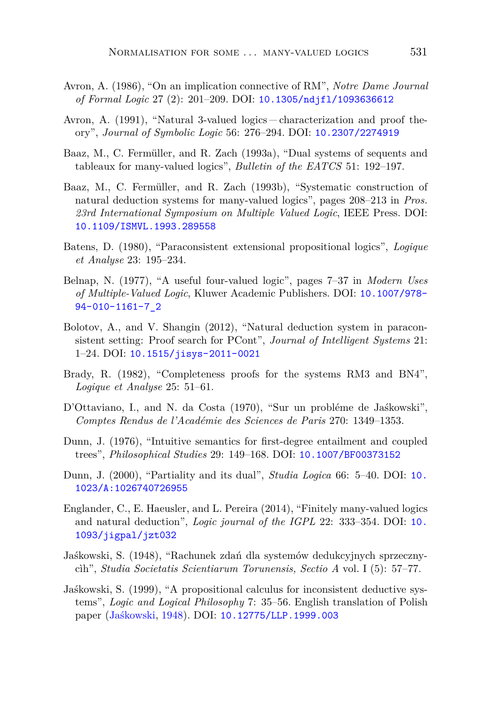- <span id="page-38-6"></span>Avron, A. (1986), "On an implication connective of RM", *Notre Dame Journal of Formal Logic* 27 (2): 201–209. DOI: [10.1305/ndjfl/1093636612](http://dx.doi.org/10.1305/ndjfl/1093636612)
- <span id="page-38-0"></span>Avron, A. (1991), "Natural 3-valued logics – characterization and proof theory", *Journal of Symbolic Logic* 56: 276–294. DOI: [10.2307/2274919](http://dx.doi.org/10.2307/2274919)
- <span id="page-38-7"></span>Baaz, M., C. Fermüller, and R. Zach (1993a), "Dual systems of sequents and tableaux for many-valued logics", *Bulletin of the EATCS* 51: 192–197.
- <span id="page-38-1"></span>Baaz, M., C. Fermüller, and R. Zach (1993b), "Systematic construction of natural deduction systems for many-valued logics", pages 208–213 in *Pros. 23rd International Symposium on Multiple Valued Logic*, IEEE Press. DOI: [10.1109/ISMVL.1993.289558](http://dx.doi.org/10.1109/ISMVL.1993.289558)
- <span id="page-38-5"></span>Batens, D. (1980), "Paraconsistent extensional propositional logics", *Logique et Analyse* 23: 195–234.
- <span id="page-38-10"></span>Belnap, N. (1977), "A useful four-valued logic", pages 7–37 in *Modern Uses of Multiple-Valued Logic*, Kluwer Academic Publishers. DOI: [10.1007/978-](http://dx.doi.org/10.1007/978-94-010-1161-7_2) [94-010-1161-7\\_2](http://dx.doi.org/10.1007/978-94-010-1161-7_2)
- <span id="page-38-9"></span>Bolotov, A., and V. Shangin (2012), "Natural deduction system in paraconsistent setting: Proof search for PCont", *Journal of Intelligent Systems* 21: 1–24. DOI: [10.1515/jisys-2011-0021](http://dx.doi.org/10.1515/jisys-2011-0021)
- <span id="page-38-12"></span>Brady, R. (1982), "Completeness proofs for the systems RM3 and BN4", *Logique et Analyse* 25: 51–61.
- <span id="page-38-8"></span>D'Ottaviano, I., and N. da Costa (1970), "Sur un probléme de Jaśkowski", *Comptes Rendus de l'Académie des Sciences de Paris* 270: 1349–1353.
- <span id="page-38-11"></span>Dunn, J. (1976), "Intuitive semantics for first-degree entailment and coupled trees", *Philosophical Studies* 29: 149–168. DOI: [10.1007/BF00373152](http://dx.doi.org/10.1007/BF00373152)
- <span id="page-38-13"></span>Dunn, J. (2000), "Partiality and its dual", *Studia Logica* 66: 5–40. DOI: [10.](http://dx.doi.org/10.1023/A:1026740726955) [1023/A:1026740726955](http://dx.doi.org/10.1023/A:1026740726955)
- <span id="page-38-2"></span>Englander, C., E. Haeusler, and L. Pereira (2014), "Finitely many-valued logics and natural deduction", *Logic journal of the IGPL* 22: 333–354. DOI: [10.](http://dx.doi.org/10.1093/jigpal/jzt032) [1093/jigpal/jzt032](http://dx.doi.org/10.1093/jigpal/jzt032)
- <span id="page-38-3"></span>Jaśkowski, S. (1948), "Rachunek zdań dla systemów dedukcyjnych sprzecznycìh", *Studia Societatis Scientiarum Torunensis, Sectio A* vol. I (5): 57–77.
- <span id="page-38-4"></span>Jaśkowski, S. (1999), "A propositional calculus for inconsistent deductive systems", *Logic and Logical Philosophy* 7: 35–56. English translation of Polish paper [\(Jaśkowski](#page-38-3), [1948\)](#page-38-3). DOI: [10.12775/LLP.1999.003](http://dx.doi.org/10.12775/LLP.1999.003)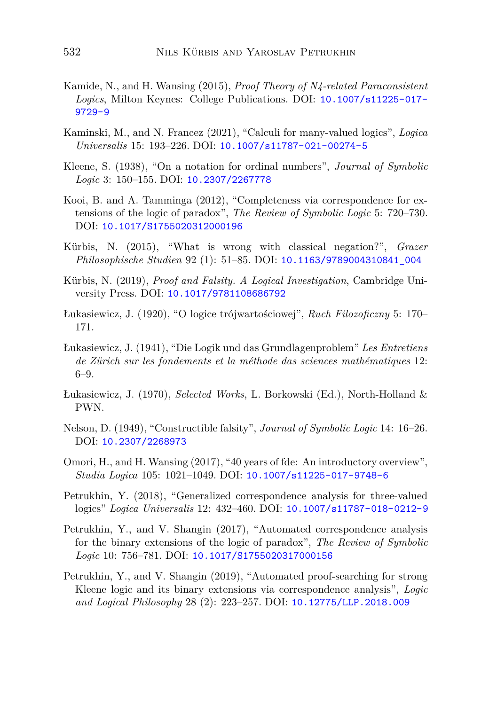- <span id="page-39-12"></span>Kamide, N., and H. Wansing (2015), *Proof Theory of N4-related Paraconsistent Logics*, Milton Keynes: College Publications. DOI: [10.1007/s11225-017-](http://dx.doi.org/10.1007/s11225-017-9729-9) [9729-9](http://dx.doi.org/10.1007/s11225-017-9729-9)
- <span id="page-39-1"></span>Kaminski, M., and N. Francez (2021), "Calculi for many-valued logics", *Logica Universalis* 15: 193–226. DOI: [10.1007/s11787-021-00274-5](http://dx.doi.org/10.1007/s11787-021-00274-5)
- <span id="page-39-5"></span>Kleene, S. (1938), "On a notation for ordinal numbers", *Journal of Symbolic Logic* 3: 150–155. DOI: [10.2307/2267778](http://dx.doi.org/10.2307/2267778)
- <span id="page-39-2"></span>Kooi, B. and A. Tamminga (2012), "Completeness via correspondence for extensions of the logic of paradox", *The Review of Symbolic Logic* 5: 720–730. DOI: [10.1017/S1755020312000196](http://dx.doi.org/10.1017/S1755020312000196)
- <span id="page-39-10"></span>Kürbis, N. (2015), "What is wrong with classical negation?", *Grazer Philosophische Studien* 92 (1): 51–85. DOI: [10.1163/9789004310841\\_004](http://dx.doi.org/10.1163/9789004310841_004)
- <span id="page-39-11"></span>Kürbis, N. (2019), *Proof and Falsity. A Logical Investigation*, Cambridge University Press. DOI: [10.1017/9781108686792](http://dx.doi.org/10.1017/9781108686792)
- <span id="page-39-6"></span>Łukasiewicz, J. (1920), "O logice trójwartościowej", *Ruch Filozoficzny* 5: 170– 171.
- <span id="page-39-13"></span>Łukasiewicz, J. (1941), "Die Logik und das Grundlagenproblem" *Les Entretiens de Zürich sur les fondements et la méthode das sciences mathématiques* 12: 6–9.
- <span id="page-39-7"></span>Łukasiewicz, J. (1970), *Selected Works*, L. Borkowski (Ed.), North-Holland & PWN.
- <span id="page-39-0"></span>Nelson, D. (1949), "Constructible falsity", *Journal of Symbolic Logic* 14: 16–26. DOI: [10.2307/2268973](http://dx.doi.org/10.2307/2268973)
- <span id="page-39-4"></span>Omori, H., and H. Wansing (2017), "40 years of fde: An introductory overview", *Studia Logica* 105: 1021–1049. DOI: [10.1007/s11225-017-9748-6](http://dx.doi.org/10.1007/s11225-017-9748-6)
- <span id="page-39-3"></span>Petrukhin, Y. (2018), "Generalized correspondence analysis for three-valued logics" *Logica Universalis* 12: 432–460. DOI: [10.1007/s11787-018-0212-9](http://dx.doi.org/10.1007/s11787-018-0212-9)
- <span id="page-39-8"></span>Petrukhin, Y., and V. Shangin (2017), "Automated correspondence analysis for the binary extensions of the logic of paradox", *The Review of Symbolic Logic* 10: 756–781. DOI: [10.1017/S1755020317000156](http://dx.doi.org/10.1017/S1755020317000156)
- <span id="page-39-9"></span>Petrukhin, Y., and V. Shangin (2019), "Automated proof-searching for strong Kleene logic and its binary extensions via correspondence analysis", *Logic and Logical Philosophy* 28 (2): 223–257. DOI: [10.12775/LLP.2018.009](http://dx.doi.org/10.12775/LLP.2018.009)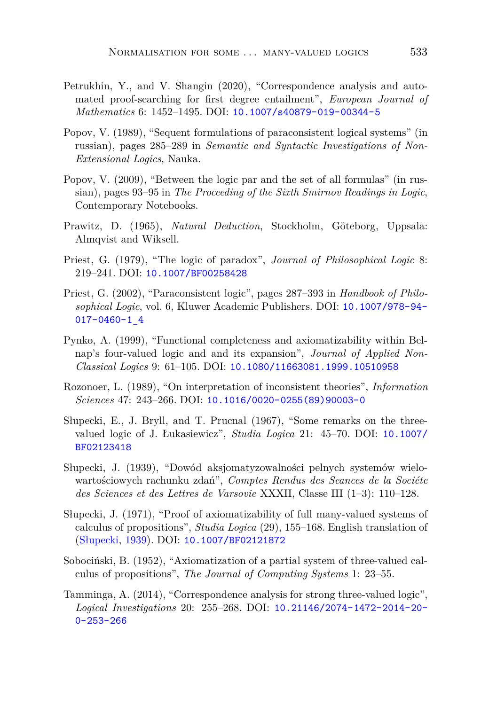- <span id="page-40-11"></span>Petrukhin, Y., and V. Shangin (2020), "Correspondence analysis and automated proof-searching for first degree entailment", *European Journal of Mathematics* 6: 1452–1495. DOI: [10.1007/s40879-019-00344-5](http://dx.doi.org/10.1007/s40879-019-00344-5)
- <span id="page-40-6"></span>Popov, V. (1989), "Sequent formulations of paraconsistent logical systems" (in russian), pages 285–289 in *Semantic and Syntactic Investigations of Non-Extensional Logics*, Nauka.
- <span id="page-40-8"></span>Popov, V. (2009), "Between the logic par and the set of all formulas" (in russian), pages 93–95 in *The Proceeding of the Sixth Smirnov Readings in Logic*, Contemporary Notebooks.
- <span id="page-40-12"></span>Prawitz, D. (1965), *Natural Deduction*, Stockholm, Göteborg, Uppsala: Almqvist and Wiksell.
- <span id="page-40-0"></span>Priest, G. (1979), "The logic of paradox", *Journal of Philosophical Logic* 8: 219–241. DOI: [10.1007/BF00258428](http://dx.doi.org/10.1007/BF00258428)
- <span id="page-40-1"></span>Priest, G. (2002), "Paraconsistent logic", pages 287–393 in *Handbook of Philosophical Logic*, vol. 6, Kluwer Academic Publishers. DOI: [10.1007/978-94-](http://dx.doi.org/10.1007/978-94-017-0460-1_4) [017-0460-1\\_4](http://dx.doi.org/10.1007/978-94-017-0460-1_4)
- <span id="page-40-9"></span>Pynko, A. (1999), "Functional completeness and axiomatizability within Belnap's four-valued logic and and its expansion", *Journal of Applied Non-Classical Logics* 9: 61–105. DOI: [10.1080/11663081.1999.10510958](http://dx.doi.org/10.1080/11663081.1999.10510958)
- <span id="page-40-4"></span>Rozonoer, L. (1989), "On interpretation of inconsistent theories", *Information Sciences* 47: 243–266. DOI: [10.1016/0020-0255\(89\)90003-0](http://dx.doi.org/10.1016/0020-0255(89)90003-0)
- <span id="page-40-7"></span>Słupecki, E., J. Bryll, and T. Prucnal (1967), "Some remarks on the threevalued logic of J. Łukasiewicz", *Studia Logica* 21: 45–70. DOI: [10.1007/](http://dx.doi.org/10.1007/BF02123418) [BF02123418](http://dx.doi.org/10.1007/BF02123418)
- <span id="page-40-2"></span>Słupecki, J. (1939), "Dowód aksjomatyzowalności pelnych systemów wielowartościowych rachunku zdań", *Comptes Rendus des Seances de la Sociéte des Sciences et des Lettres de Varsovie* XXXII, Classe III (1–3): 110–128.
- <span id="page-40-3"></span>Słupecki, J. (1971), "Proof of axiomatizability of full many-valued systems of calculus of propositions", *Studia Logica* (29), 155–168. English translation of [\(Słupecki,](#page-40-2) [1939](#page-40-2)). DOI: [10.1007/BF02121872](http://dx.doi.org/10.1007/BF02121872)
- <span id="page-40-5"></span>Sobociński, B. (1952), "Axiomatization of a partial system of three-valued calculus of propositions", *The Journal of Computing Systems* 1: 23–55.
- <span id="page-40-10"></span>Tamminga, A. (2014), "Correspondence analysis for strong three-valued logic", *Logical Investigations* 20: 255–268. DOI: [10.21146/2074-1472-2014-20-](http://dx.doi.org/10.21146/2074-1472-2014-20-0-253-266) [0-253-266](http://dx.doi.org/10.21146/2074-1472-2014-20-0-253-266)